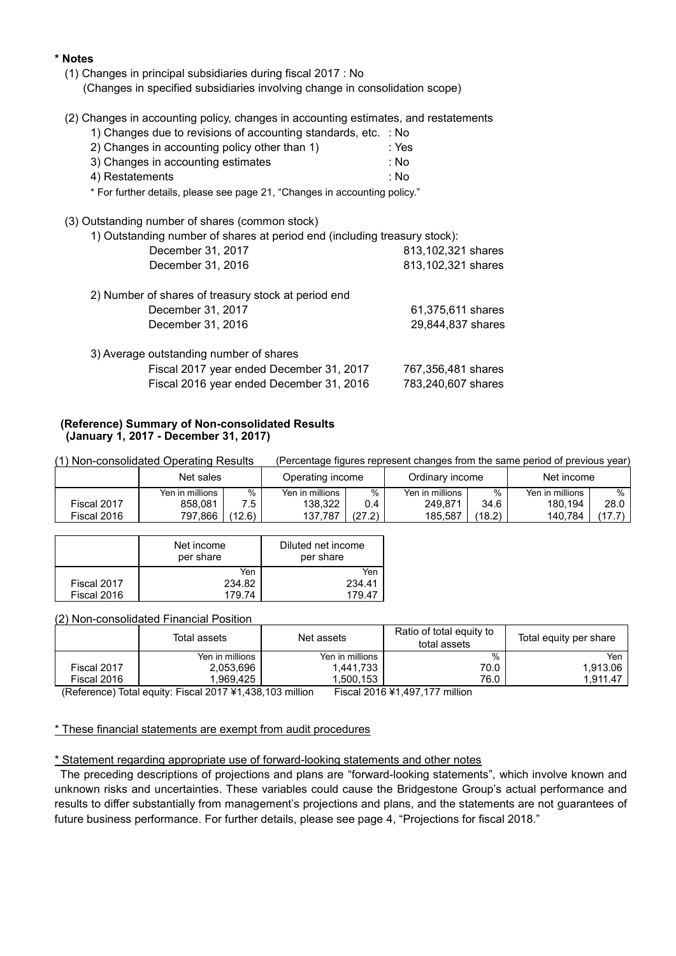### **\* Notes**

- (1) Changes in principal subsidiaries during fiscal 2017 : No (Changes in specified subsidiaries involving change in consolidation scope)
- (2) Changes in accounting policy, changes in accounting estimates, and restatements
	- 1) Changes due to revisions of accounting standards, etc. : No

| 2) Changes in accounting policy other than 1) | :Yes |
|-----------------------------------------------|------|
| 3) Changes in accounting estimates            | : No |

4) Restatements : No

\* For further details, please see page 21, "Changes in accounting policy."

(3) Outstanding number of shares (common stock)

| 1) Outstanding number of shares at period end (including treasury stock): |                    |
|---------------------------------------------------------------------------|--------------------|
| December 31, 2017                                                         | 813,102,321 shares |
| December 31, 2016                                                         | 813,102,321 shares |
| 2) Number of shares of treasury stock at period end                       |                    |
| December 31, 2017                                                         | 61,375,611 shares  |
| December 31, 2016                                                         | 29,844,837 shares  |
| 3) Average outstanding number of shares                                   |                    |

|  | Fiscal 2017 year ended December 31, 2017 | 767,356,481 shares |
|--|------------------------------------------|--------------------|
|  | Fiscal 2016 year ended December 31, 2016 | 783,240,607 shares |

#### **(Reference) Summary of Non-consolidated Results (January 1, 2017 - December 31, 2017)**

(1) Non-consolidated Operating Results (Percentage figures represent changes from the same period of previous year)

|             | Net sales       |        | Operating income |        | Ordinarv income |        | Net income      |       |
|-------------|-----------------|--------|------------------|--------|-----------------|--------|-----------------|-------|
|             | Yen in millions | %      | Yen in millions  | %      | Yen in millions | %      | Yen in millions | $\%$  |
| Fiscal 2017 | 858.081         | 7.5    | 138.322          | 0.4    | 249.871         | 34.6   | 180.194         | 28.0  |
| Fiscal 2016 | 797.866         | (12.6) | 137.787          | (27.2) | 185.587         | (18.2) | 140.784         | .17.7 |

|             | Net income<br>per share | Diluted net income<br>per share |
|-------------|-------------------------|---------------------------------|
|             | Yen                     | Yen                             |
| Fiscal 2017 | 234.82                  | 234.41                          |
| Fiscal 2016 | 179 74                  | 17947                           |

#### (2) Non-consolidated Financial Position

|             | Total assets    | Net assets      | Ratio of total equity to<br>total assets | Total equity per share |
|-------------|-----------------|-----------------|------------------------------------------|------------------------|
|             | Yen in millions | Yen in millions | %                                        | Yen                    |
| Fiscal 2017 | 2,053,696       | 1.441.733       | 70.0                                     | 1.913.06               |
| Fiscal 2016 | .969.425        | .500.153        | 76.0                                     | 1.911.47               |

(Reference) Total equity: Fiscal 2017 ¥1,438,103 million Fiscal 2016 ¥1,497,177 million

#### \* These financial statements are exempt from audit procedures

\* Statement regarding appropriate use of forward-looking statements and other notes

The preceding descriptions of projections and plans are "forward-looking statements", which involve known and unknown risks and uncertainties. These variables could cause the Bridgestone Group's actual performance and results to differ substantially from management's projections and plans, and the statements are not guarantees of future business performance. For further details, please see page 4, "Projections for fiscal 2018."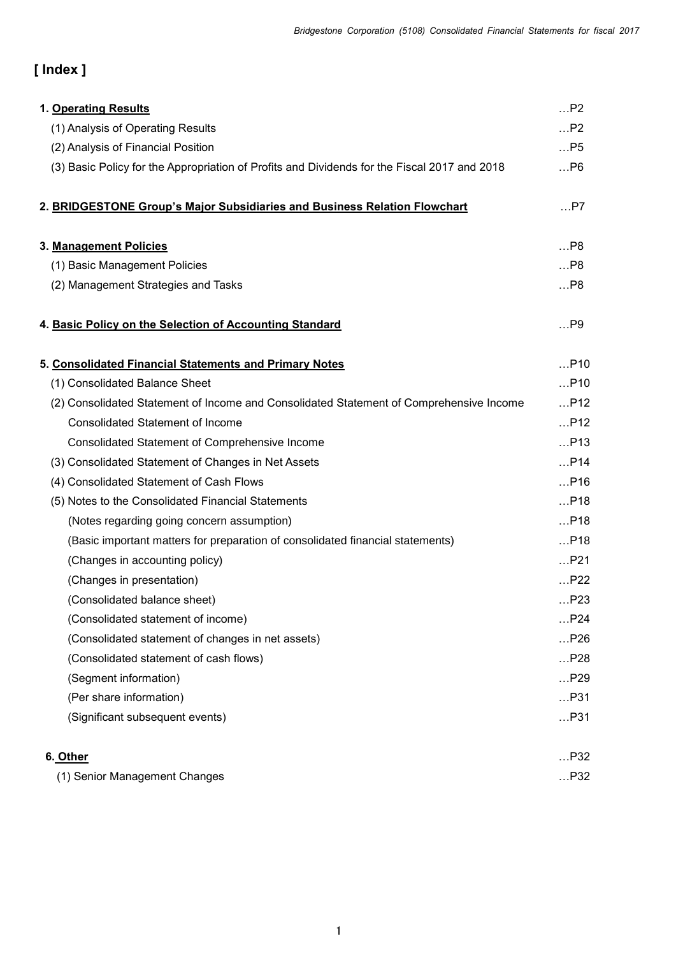# **[ Index ]**

| 1. Operating Results                                                                         | P2    |
|----------------------------------------------------------------------------------------------|-------|
| (1) Analysis of Operating Results                                                            | P2    |
| (2) Analysis of Financial Position                                                           | P5    |
| (3) Basic Policy for the Appropriation of Profits and Dividends for the Fiscal 2017 and 2018 | P6    |
|                                                                                              |       |
| 2. BRIDGESTONE Group's Major Subsidiaries and Business Relation Flowchart                    | $$ P7 |
|                                                                                              |       |
| 3. Management Policies                                                                       | P8    |
| (1) Basic Management Policies                                                                | P8    |
| (2) Management Strategies and Tasks                                                          | P8    |
| 4. Basic Policy on the Selection of Accounting Standard                                      | $$ P9 |
|                                                                                              |       |
| 5. Consolidated Financial Statements and Primary Notes                                       | P10   |
| (1) Consolidated Balance Sheet                                                               | P10   |
| (2) Consolidated Statement of Income and Consolidated Statement of Comprehensive Income      | P12   |
| <b>Consolidated Statement of Income</b>                                                      | P12   |
| <b>Consolidated Statement of Comprehensive Income</b>                                        | P13   |
| (3) Consolidated Statement of Changes in Net Assets                                          | P14   |
| (4) Consolidated Statement of Cash Flows                                                     | P16   |
| (5) Notes to the Consolidated Financial Statements                                           | P18   |
| (Notes regarding going concern assumption)                                                   | P18   |
| (Basic important matters for preparation of consolidated financial statements)               | P18   |
| (Changes in accounting policy)                                                               | P21   |
| (Changes in presentation)                                                                    | P22   |
| (Consolidated balance sheet)                                                                 | P23   |
| (Consolidated statement of income)                                                           | P24   |
| (Consolidated statement of changes in net assets)                                            | P26   |
| (Consolidated statement of cash flows)                                                       | P28   |
| (Segment information)                                                                        | P29   |
| (Per share information)                                                                      | P31   |
| (Significant subsequent events)                                                              | P31   |
| 6. Other                                                                                     | P32   |
| (1) Senior Management Changes                                                                | P32   |
|                                                                                              |       |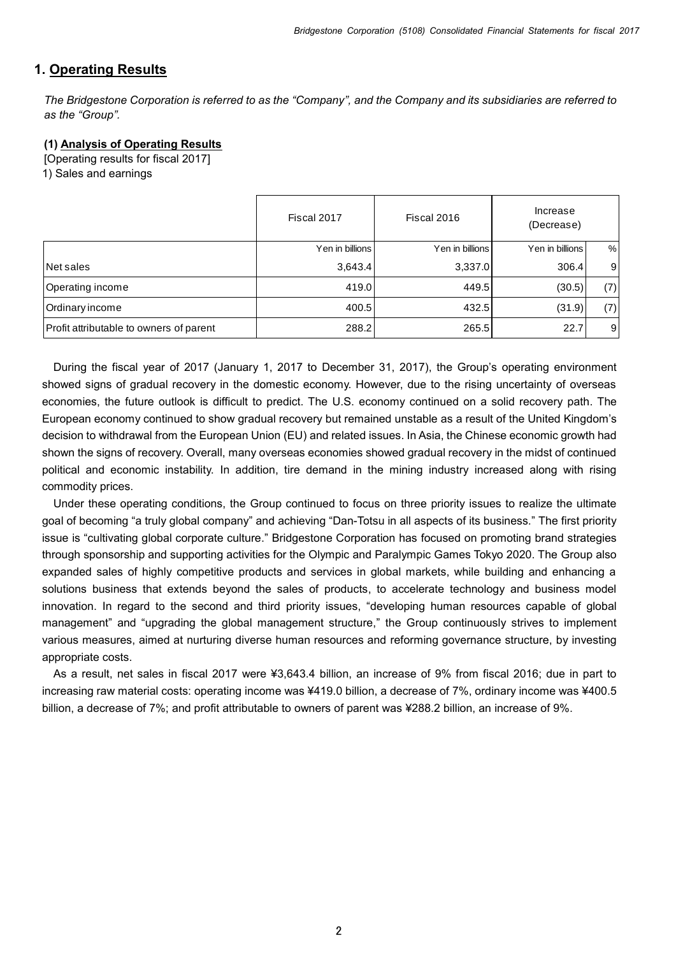## **1. Operating Results**

*The Bridgestone Corporation is referred to as the "Company", and the Company and its subsidiaries are referred to as the "Group".*

### **(1) Analysis of Operating Results**

[Operating results for fiscal 2017] 1) Sales and earnings

|                                         | Fiscal 2017     | Fiscal 2016     | Increase<br>(Decrease) |     |
|-----------------------------------------|-----------------|-----------------|------------------------|-----|
|                                         | Yen in billions | Yen in billions | Yen in billions        | %   |
| Net sales                               | 3,643.4         | 3,337.0         | 306.4                  | 9   |
| Operating income                        | 419.0           | 449.5           | (30.5)                 | (7) |
| Ordinary income                         | 400.5           | 432.5           | (31.9)                 | (7) |
| Profit attributable to owners of parent | 288.2           | 265.5           | 22.7                   | 9   |

During the fiscal year of 2017 (January 1, 2017 to December 31, 2017), the Group's operating environment showed signs of gradual recovery in the domestic economy. However, due to the rising uncertainty of overseas economies, the future outlook is difficult to predict. The U.S. economy continued on a solid recovery path. The European economy continued to show gradual recovery but remained unstable as a result of the United Kingdom's decision to withdrawal from the European Union (EU) and related issues. In Asia, the Chinese economic growth had shown the signs of recovery. Overall, many overseas economies showed gradual recovery in the midst of continued political and economic instability. In addition, tire demand in the mining industry increased along with rising commodity prices.

Under these operating conditions, the Group continued to focus on three priority issues to realize the ultimate goal of becoming "a truly global company" and achieving "Dan-Totsu in all aspects of its business." The first priority issue is "cultivating global corporate culture." Bridgestone Corporation has focused on promoting brand strategies through sponsorship and supporting activities for the Olympic and Paralympic Games Tokyo 2020. The Group also expanded sales of highly competitive products and services in global markets, while building and enhancing a solutions business that extends beyond the sales of products, to accelerate technology and business model innovation. In regard to the second and third priority issues, "developing human resources capable of global management" and "upgrading the global management structure," the Group continuously strives to implement various measures, aimed at nurturing diverse human resources and reforming governance structure, by investing appropriate costs.

As a result, net sales in fiscal 2017 were ¥3,643.4 billion, an increase of 9% from fiscal 2016; due in part to increasing raw material costs: operating income was ¥419.0 billion, a decrease of 7%, ordinary income was ¥400.5 billion, a decrease of 7%; and profit attributable to owners of parent was ¥288.2 billion, an increase of 9%.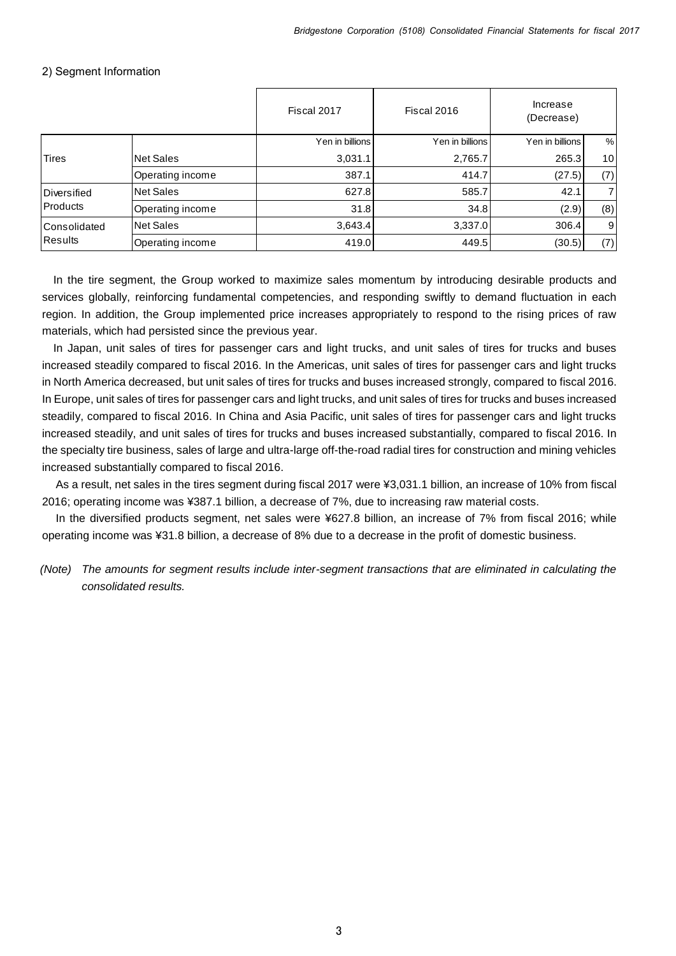#### 2) Segment Information

|                                       |                  | Fiscal 2017     | Fiscal 2016     | Increase<br>(Decrease) |                 |
|---------------------------------------|------------------|-----------------|-----------------|------------------------|-----------------|
|                                       |                  | Yen in billions | Yen in billions | Yen in billions        | %               |
| <b>Tires</b>                          | Net Sales        | 3,031.1         | 2,765.7         | 265.3                  | 10 <sup>1</sup> |
|                                       | Operating income | 387.1           | 414.7           | (27.5)                 | (7)             |
| Diversified                           | Net Sales        | 627.8           | 585.7           | 42.1                   | 71              |
| <b>Products</b>                       | Operating income | 31.8            | 34.8            | (2.9)                  | (8)             |
| <b>Consolidated</b><br><b>Results</b> | Net Sales        | 3,643.4         | 3,337.0         | 306.4                  | $9 \mid$        |
|                                       | Operating income | 419.0           | 449.5           | (30.5)                 | (7)             |

In the tire segment, the Group worked to maximize sales momentum by introducing desirable products and services globally, reinforcing fundamental competencies, and responding swiftly to demand fluctuation in each region. In addition, the Group implemented price increases appropriately to respond to the rising prices of raw materials, which had persisted since the previous year.

In Japan, unit sales of tires for passenger cars and light trucks, and unit sales of tires for trucks and buses increased steadily compared to fiscal 2016. In the Americas, unit sales of tires for passenger cars and light trucks in North America decreased, but unit sales of tires for trucks and buses increased strongly, compared to fiscal 2016. In Europe, unit sales of tires for passenger cars and light trucks, and unit sales of tires for trucks and buses increased steadily, compared to fiscal 2016. In China and Asia Pacific, unit sales of tires for passenger cars and light trucks increased steadily, and unit sales of tires for trucks and buses increased substantially, compared to fiscal 2016. In the specialty tire business, sales of large and ultra-large off-the-road radial tires for construction and mining vehicles increased substantially compared to fiscal 2016.

As a result, net sales in the tires segment during fiscal 2017 were ¥3,031.1 billion, an increase of 10% from fiscal 2016; operating income was ¥387.1 billion, a decrease of 7%, due to increasing raw material costs.

In the diversified products segment, net sales were ¥627.8 billion, an increase of 7% from fiscal 2016; while operating income was ¥31.8 billion, a decrease of 8% due to a decrease in the profit of domestic business.

*(Note) The amounts for segment results include inter-segment transactions that are eliminated in calculating the consolidated results.*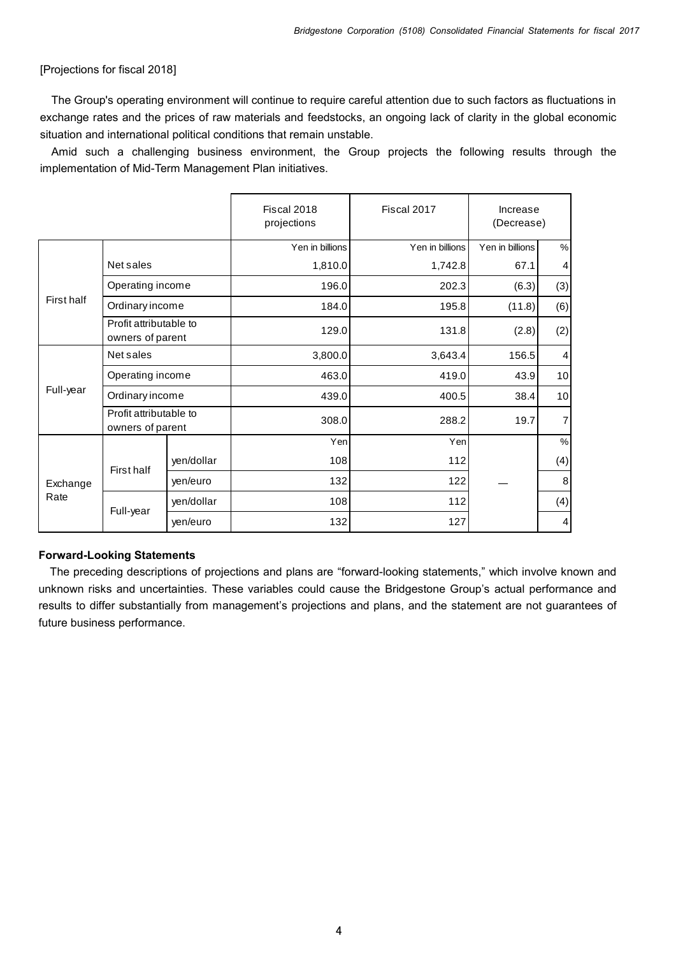#### [Projections for fiscal 2018]

The Group's operating environment will continue to require careful attention due to such factors as fluctuations in exchange rates and the prices of raw materials and feedstocks, an ongoing lack of clarity in the global economic situation and international political conditions that remain unstable.

Amid such a challenging business environment, the Group projects the following results through the implementation of Mid-Term Management Plan initiatives.

|            |                                            |            | Fiscal 2018<br>projections | Fiscal 2017     | Increase<br>(Decrease) |                         |
|------------|--------------------------------------------|------------|----------------------------|-----------------|------------------------|-------------------------|
|            |                                            |            | Yen in billions            | Yen in billions | Yen in billions        | $\%$                    |
|            | Net sales                                  |            | 1,810.0                    | 1,742.8         | 67.1                   | $\overline{\mathbf{4}}$ |
|            | Operating income                           |            | 196.0                      | 202.3           | (6.3)                  | (3)                     |
| First half | Ordinary income                            |            | 184.0                      | 195.8           | (11.8)                 | (6)                     |
|            | Profit attributable to<br>owners of parent |            | 129.0                      | 131.8           | (2.8)                  | (2)                     |
|            | Net sales                                  |            | 3,800.0                    | 3,643.4         | 156.5                  | $\overline{4}$          |
|            | Operating income                           |            | 463.0                      | 419.0           | 43.9                   | 10                      |
| Full-year  | Ordinary income                            |            | 439.0                      | 400.5           | 38.4                   | 10                      |
|            | Profit attributable to<br>owners of parent |            | 308.0                      | 288.2           | 19.7                   | $\overline{7}$          |
|            |                                            |            | Yen                        | Yen             |                        | $\%$                    |
|            | First half                                 | yen/dollar | 108                        | 112             |                        | (4)                     |
| Exchange   |                                            | yen/euro   | 132                        | 122             |                        | 8                       |
| Rate       |                                            | yen/dollar | 108                        | 112             |                        | (4)                     |
|            | Full-year                                  | yen/euro   | 132                        | 127             |                        | $\overline{4}$          |

#### **Forward-Looking Statements**

The preceding descriptions of projections and plans are "forward-looking statements," which involve known and unknown risks and uncertainties. These variables could cause the Bridgestone Group's actual performance and results to differ substantially from management's projections and plans, and the statement are not guarantees of future business performance.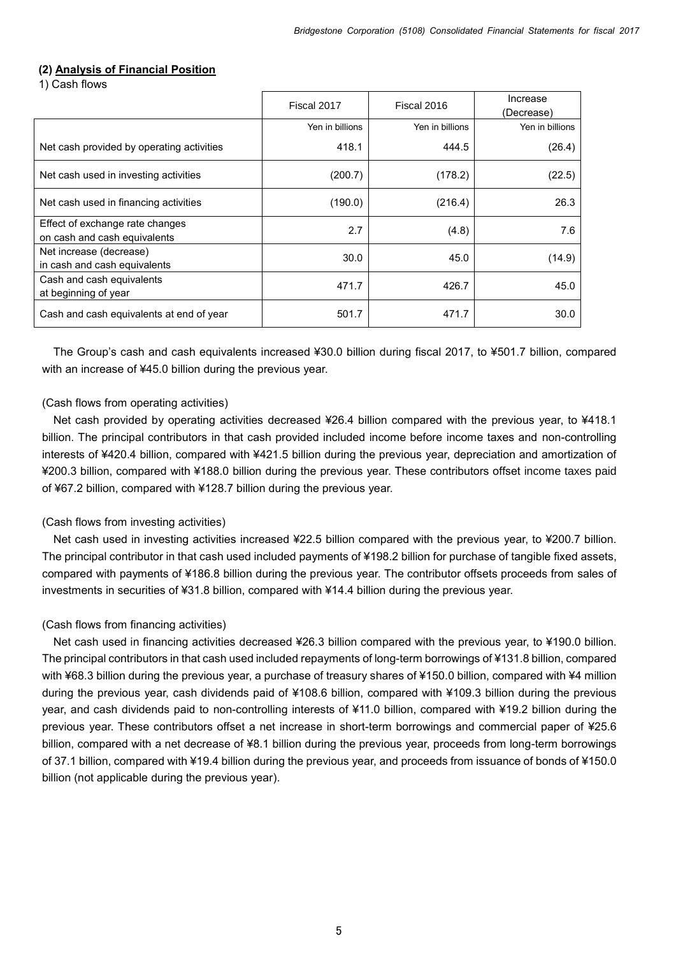#### **(2) Analysis of Financial Position**

1) Cash flows

|                                                                 | Fiscal 2017     | Fiscal 2016     | Increase<br>(Decrease) |
|-----------------------------------------------------------------|-----------------|-----------------|------------------------|
|                                                                 | Yen in billions | Yen in billions | Yen in billions        |
| Net cash provided by operating activities                       | 418.1           | 444.5           | (26.4)                 |
| Net cash used in investing activities                           | (200.7)         | (178.2)         | (22.5)                 |
| Net cash used in financing activities                           | (190.0)         | (216.4)         | 26.3                   |
| Effect of exchange rate changes<br>on cash and cash equivalents | 2.7             | (4.8)           | 7.6                    |
| Net increase (decrease)<br>in cash and cash equivalents         | 30.0            | 45.0            | (14.9)                 |
| Cash and cash equivalents<br>at beginning of year               | 471.7           | 426.7           | 45.0                   |
| Cash and cash equivalents at end of year                        | 501.7           | 471.7           | 30.0                   |

The Group's cash and cash equivalents increased ¥30.0 billion during fiscal 2017, to ¥501.7 billion, compared with an increase of ¥45.0 billion during the previous year.

#### (Cash flows from operating activities)

Net cash provided by operating activities decreased ¥26.4 billion compared with the previous year, to ¥418.1 billion. The principal contributors in that cash provided included income before income taxes and non-controlling interests of ¥420.4 billion, compared with ¥421.5 billion during the previous year, depreciation and amortization of ¥200.3 billion, compared with ¥188.0 billion during the previous year. These contributors offset income taxes paid of ¥67.2 billion, compared with ¥128.7 billion during the previous year.

#### (Cash flows from investing activities)

Net cash used in investing activities increased ¥22.5 billion compared with the previous year, to ¥200.7 billion. The principal contributor in that cash used included payments of ¥198.2 billion for purchase of tangible fixed assets, compared with payments of ¥186.8 billion during the previous year. The contributor offsets proceeds from sales of investments in securities of ¥31.8 billion, compared with ¥14.4 billion during the previous year.

#### (Cash flows from financing activities)

Net cash used in financing activities decreased ¥26.3 billion compared with the previous year, to ¥190.0 billion. The principal contributors in that cash used included repayments of long-term borrowings of ¥131.8 billion, compared with ¥68.3 billion during the previous year, a purchase of treasury shares of ¥150.0 billion, compared with ¥4 million during the previous year, cash dividends paid of ¥108.6 billion, compared with ¥109.3 billion during the previous year, and cash dividends paid to non-controlling interests of ¥11.0 billion, compared with ¥19.2 billion during the previous year. These contributors offset a net increase in short-term borrowings and commercial paper of ¥25.6 billion, compared with a net decrease of ¥8.1 billion during the previous year, proceeds from long-term borrowings of 37.1 billion, compared with ¥19.4 billion during the previous year, and proceeds from issuance of bonds of ¥150.0 billion (not applicable during the previous year).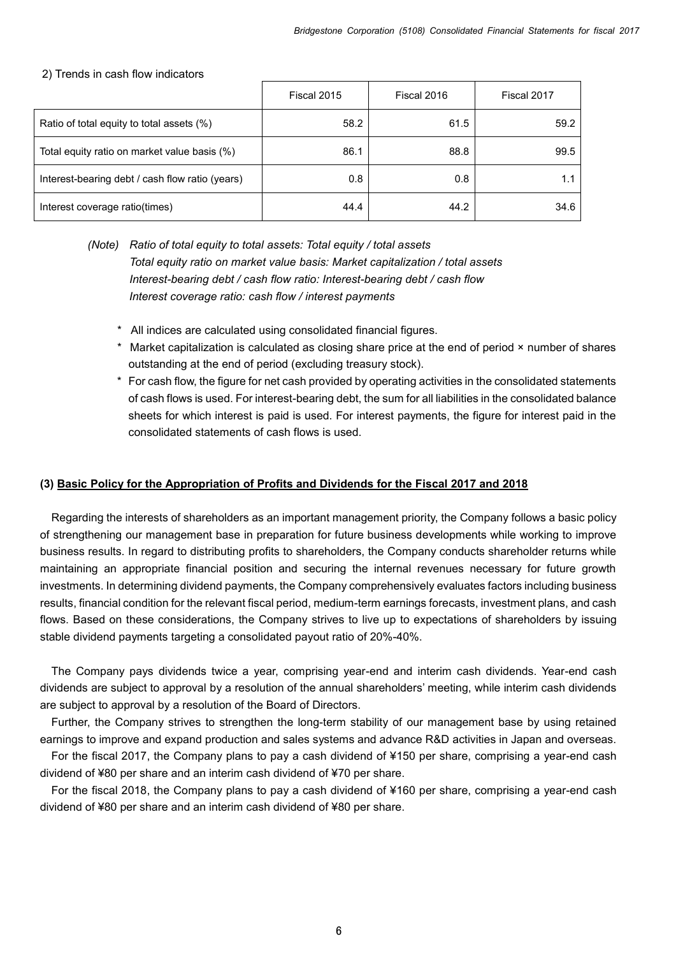#### 2) Trends in cash flow indicators

|                                                 | Fiscal 2015 | Fiscal 2016 | Fiscal 2017 |
|-------------------------------------------------|-------------|-------------|-------------|
| Ratio of total equity to total assets (%)       | 58.2        | 61.5        | 59.2        |
| Total equity ratio on market value basis (%)    | 86.1        | 88.8        | 99.5        |
| Interest-bearing debt / cash flow ratio (years) | 0.8         | 0.8         |             |
| Interest coverage ratio(times)                  | 44.4        | 44.2        | 34.6        |

*(Note) Ratio of total equity to total assets: Total equity / total assets Total equity ratio on market value basis: Market capitalization / total assets Interest-bearing debt / cash flow ratio: Interest-bearing debt / cash flow Interest coverage ratio: cash flow / interest payments*

- \* All indices are calculated using consolidated financial figures.
- \* Market capitalization is calculated as closing share price at the end of period × number of shares outstanding at the end of period (excluding treasury stock).
- \* For cash flow, the figure for net cash provided by operating activities in the consolidated statements of cash flows is used. For interest-bearing debt, the sum for all liabilities in the consolidated balance sheets for which interest is paid is used. For interest payments, the figure for interest paid in the consolidated statements of cash flows is used.

#### **(3) Basic Policy for the Appropriation of Profits and Dividends for the Fiscal 2017 and 2018**

Regarding the interests of shareholders as an important management priority, the Company follows a basic policy of strengthening our management base in preparation for future business developments while working to improve business results. In regard to distributing profits to shareholders, the Company conducts shareholder returns while maintaining an appropriate financial position and securing the internal revenues necessary for future growth investments. In determining dividend payments, the Company comprehensively evaluates factors including business results, financial condition for the relevant fiscal period, medium-term earnings forecasts, investment plans, and cash flows. Based on these considerations, the Company strives to live up to expectations of shareholders by issuing stable dividend payments targeting a consolidated payout ratio of 20%-40%.

The Company pays dividends twice a year, comprising year-end and interim cash dividends. Year-end cash dividends are subject to approval by a resolution of the annual shareholders' meeting, while interim cash dividends are subject to approval by a resolution of the Board of Directors.

Further, the Company strives to strengthen the long-term stability of our management base by using retained earnings to improve and expand production and sales systems and advance R&D activities in Japan and overseas.

For the fiscal 2017, the Company plans to pay a cash dividend of ¥150 per share, comprising a year-end cash dividend of ¥80 per share and an interim cash dividend of ¥70 per share.

For the fiscal 2018, the Company plans to pay a cash dividend of ¥160 per share, comprising a year-end cash dividend of ¥80 per share and an interim cash dividend of ¥80 per share.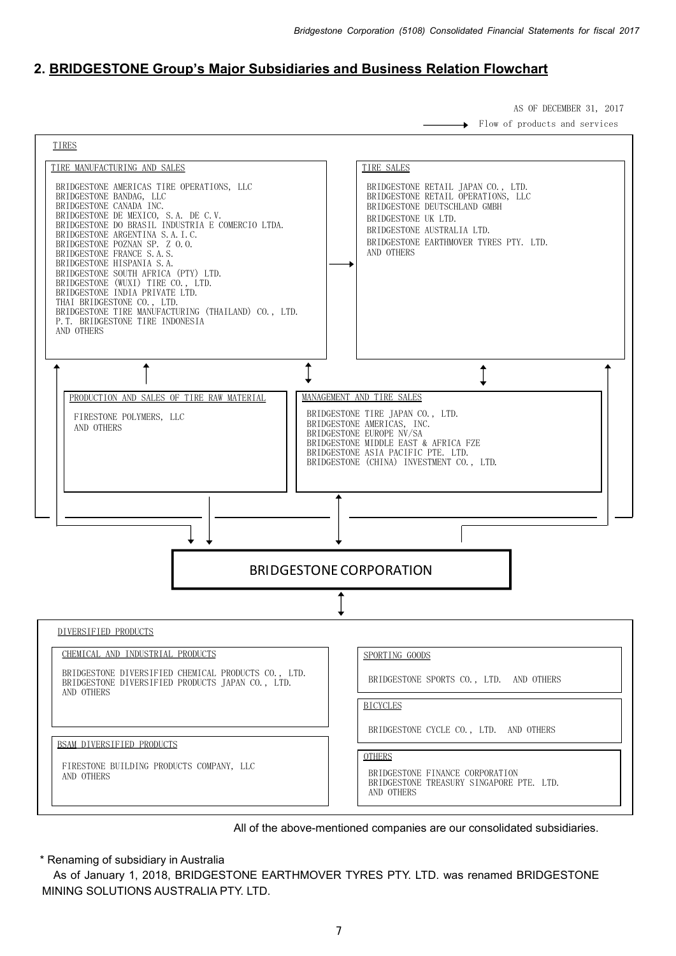# **2. BRIDGESTONE Group's Major Subsidiaries and Business Relation Flowchart**

AS OF DECEMBER 31, 2017

Flow of products and services ┶





\* Renaming of subsidiary in Australia

As of January 1, 2018, BRIDGESTONE EARTHMOVER TYRES PTY. LTD. was renamed BRIDGESTONE MINING SOLUTIONS AUSTRALIA PTY. LTD.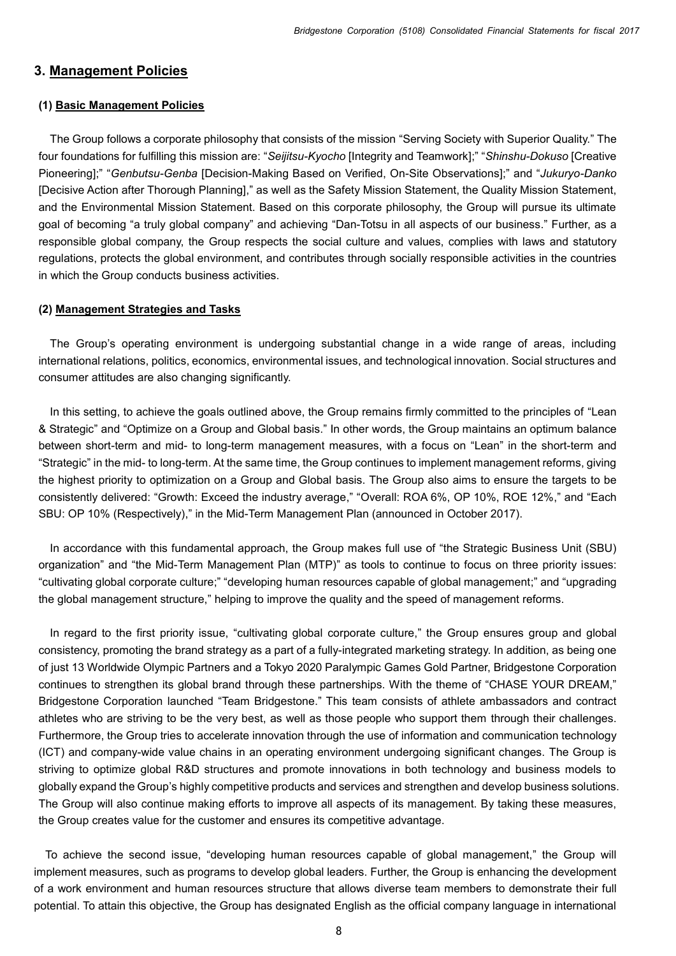#### **3. Management Policies**

#### **(1) Basic Management Policies**

The Group follows a corporate philosophy that consists of the mission "Serving Society with Superior Quality." The four foundations for fulfilling this mission are: "*Seijitsu-Kyocho* [Integrity and Teamwork];" "*Shinshu-Dokuso* [Creative Pioneering];" "*Genbutsu-Genba* [Decision-Making Based on Verified, On-Site Observations];" and "*Jukuryo-Danko* [Decisive Action after Thorough Planning]," as well as the Safety Mission Statement, the Quality Mission Statement, and the Environmental Mission Statement. Based on this corporate philosophy, the Group will pursue its ultimate goal of becoming "a truly global company" and achieving "Dan-Totsu in all aspects of our business." Further, as a responsible global company, the Group respects the social culture and values, complies with laws and statutory regulations, protects the global environment, and contributes through socially responsible activities in the countries in which the Group conducts business activities.

#### **(2) Management Strategies and Tasks**

The Group's operating environment is undergoing substantial change in a wide range of areas, including international relations, politics, economics, environmental issues, and technological innovation. Social structures and consumer attitudes are also changing significantly.

In this setting, to achieve the goals outlined above, the Group remains firmly committed to the principles of "Lean & Strategic" and "Optimize on a Group and Global basis." In other words, the Group maintains an optimum balance between short-term and mid- to long-term management measures, with a focus on "Lean" in the short-term and "Strategic" in the mid- to long-term. At the same time, the Group continues to implement management reforms, giving the highest priority to optimization on a Group and Global basis. The Group also aims to ensure the targets to be consistently delivered: "Growth: Exceed the industry average," "Overall: ROA 6%, OP 10%, ROE 12%," and "Each SBU: OP 10% (Respectively)," in the Mid-Term Management Plan (announced in October 2017).

In accordance with this fundamental approach, the Group makes full use of "the Strategic Business Unit (SBU) organization" and "the Mid-Term Management Plan (MTP)" as tools to continue to focus on three priority issues: "cultivating global corporate culture;" "developing human resources capable of global management;" and "upgrading the global management structure," helping to improve the quality and the speed of management reforms.

In regard to the first priority issue, "cultivating global corporate culture," the Group ensures group and global consistency, promoting the brand strategy as a part of a fully-integrated marketing strategy. In addition, as being one of just 13 Worldwide Olympic Partners and a Tokyo 2020 Paralympic Games Gold Partner, Bridgestone Corporation continues to strengthen its global brand through these partnerships. With the theme of "CHASE YOUR DREAM," Bridgestone Corporation launched "Team Bridgestone." This team consists of athlete ambassadors and contract athletes who are striving to be the very best, as well as those people who support them through their challenges. Furthermore, the Group tries to accelerate innovation through the use of information and communication technology (ICT) and company-wide value chains in an operating environment undergoing significant changes. The Group is striving to optimize global R&D structures and promote innovations in both technology and business models to globally expand the Group's highly competitive products and services and strengthen and develop business solutions. The Group will also continue making efforts to improve all aspects of its management. By taking these measures, the Group creates value for the customer and ensures its competitive advantage.

To achieve the second issue, "developing human resources capable of global management," the Group will implement measures, such as programs to develop global leaders. Further, the Group is enhancing the development of a work environment and human resources structure that allows diverse team members to demonstrate their full potential. To attain this objective, the Group has designated English as the official company language in international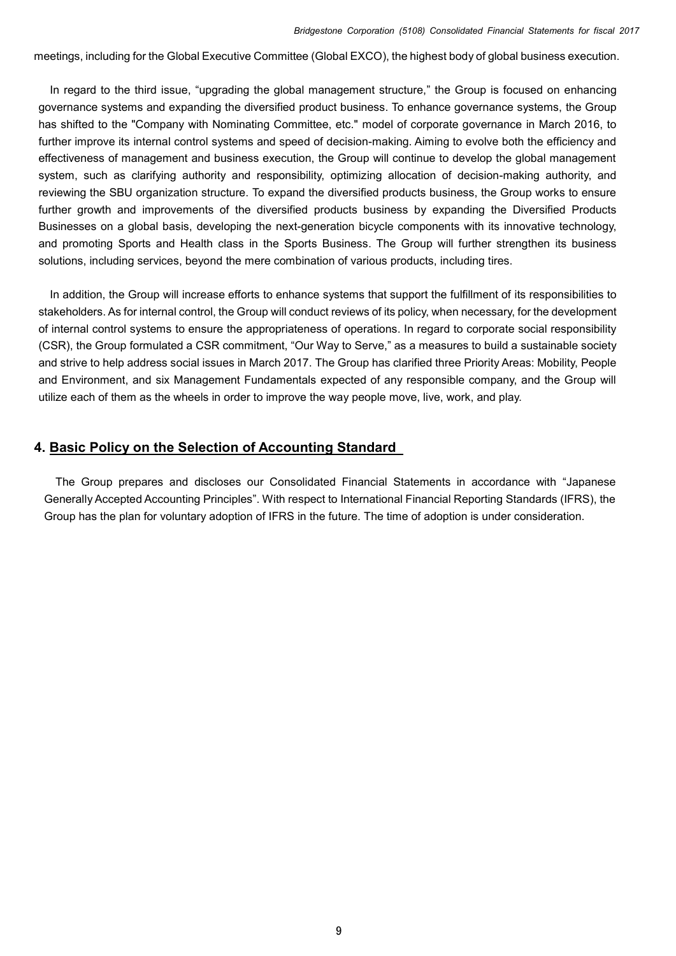meetings, including for the Global Executive Committee (Global EXCO), the highest body of global business execution.

In regard to the third issue, "upgrading the global management structure," the Group is focused on enhancing governance systems and expanding the diversified product business. To enhance governance systems, the Group has shifted to the "Company with Nominating Committee, etc." model of corporate governance in March 2016, to further improve its internal control systems and speed of decision-making. Aiming to evolve both the efficiency and effectiveness of management and business execution, the Group will continue to develop the global management system, such as clarifying authority and responsibility, optimizing allocation of decision-making authority, and reviewing the SBU organization structure. To expand the diversified products business, the Group works to ensure further growth and improvements of the diversified products business by expanding the Diversified Products Businesses on a global basis, developing the next-generation bicycle components with its innovative technology, and promoting Sports and Health class in the Sports Business. The Group will further strengthen its business solutions, including services, beyond the mere combination of various products, including tires.

In addition, the Group will increase efforts to enhance systems that support the fulfillment of its responsibilities to stakeholders. As for internal control, the Group will conduct reviews of its policy, when necessary, for the development of internal control systems to ensure the appropriateness of operations. In regard to corporate social responsibility (CSR), the Group formulated a CSR commitment, "Our Way to Serve," as a measures to build a sustainable society and strive to help address social issues in March 2017. The Group has clarified three Priority Areas: Mobility, People and Environment, and six Management Fundamentals expected of any responsible company, and the Group will utilize each of them as the wheels in order to improve the way people move, live, work, and play.

### **4. Basic Policy on the Selection of Accounting Standard**

The Group prepares and discloses our Consolidated Financial Statements in accordance with "Japanese Generally Accepted Accounting Principles". With respect to International Financial Reporting Standards (IFRS), the Group has the plan for voluntary adoption of IFRS in the future. The time of adoption is under consideration.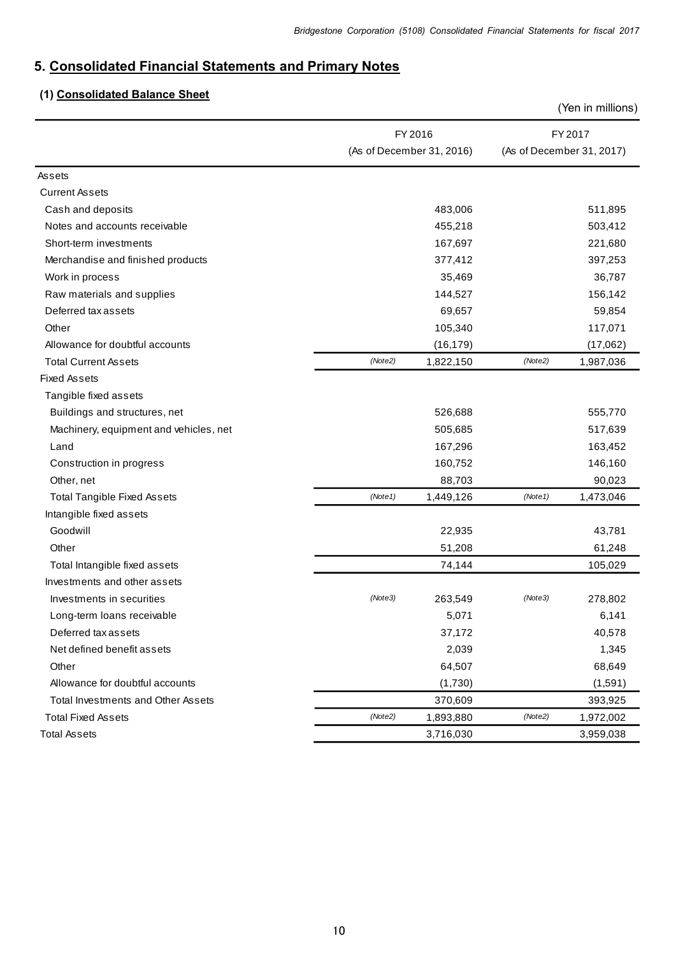# **5. Consolidated Financial Statements and Primary Notes**

# **(1) Consolidated Balance Sheet**

|                                        |                           | (Yen in millions)         |
|----------------------------------------|---------------------------|---------------------------|
|                                        | FY 2016                   | FY 2017                   |
|                                        | (As of December 31, 2016) | (As of December 31, 2017) |
| Assets                                 |                           |                           |
| <b>Current Assets</b>                  |                           |                           |
| Cash and deposits                      | 483,006                   | 511,895                   |
| Notes and accounts receivable          | 455,218                   | 503,412                   |
| Short-term investments                 | 167,697                   | 221,680                   |
| Merchandise and finished products      | 377,412                   | 397,253                   |
| Work in process                        | 35,469                    | 36,787                    |
| Raw materials and supplies             | 144,527                   | 156,142                   |
| Deferred tax assets                    | 69,657                    | 59,854                    |
| Other                                  | 105,340                   | 117,071                   |
| Allowance for doubtful accounts        | (16, 179)                 | (17,062)                  |
| <b>Total Current Assets</b>            | (Note2)<br>1,822,150      | (Note2)<br>1,987,036      |
| <b>Fixed Assets</b>                    |                           |                           |
| Tangible fixed assets                  |                           |                           |
| Buildings and structures, net          | 526,688                   | 555,770                   |
| Machinery, equipment and vehicles, net | 505,685                   | 517,639                   |
| Land                                   | 167,296                   | 163,452                   |
| Construction in progress               | 160,752                   | 146,160                   |
| Other, net                             | 88,703                    | 90,023                    |
| <b>Total Tangible Fixed Assets</b>     | (Note1)<br>1,449,126      | (Note1)<br>1,473,046      |
| Intangible fixed assets                |                           |                           |
| Goodwill                               | 22,935                    | 43,781                    |
| Other                                  | 51,208                    | 61,248                    |
| Total Intangible fixed assets          | 74,144                    | 105,029                   |
| Investments and other assets           |                           |                           |
| Investments in securities              | (Note3)<br>263,549        | (Note3)<br>278,802        |
| Long-term loans receivable             | 5,071                     | 6,141                     |
| Deferred tax assets                    | 37,172                    | 40,578                    |
| Net defined benefit assets             | 2,039                     | 1,345                     |
| Other                                  | 64,507                    | 68,649                    |
| Allowance for doubtful accounts        | (1,730)                   | (1,591)                   |
| Total Investments and Other Assets     | 370,609                   | 393,925                   |
| <b>Total Fixed Assets</b>              | (Note2)<br>1,893,880      | (Note2)<br>1,972,002      |
| <b>Total Assets</b>                    | 3,716,030                 | 3,959,038                 |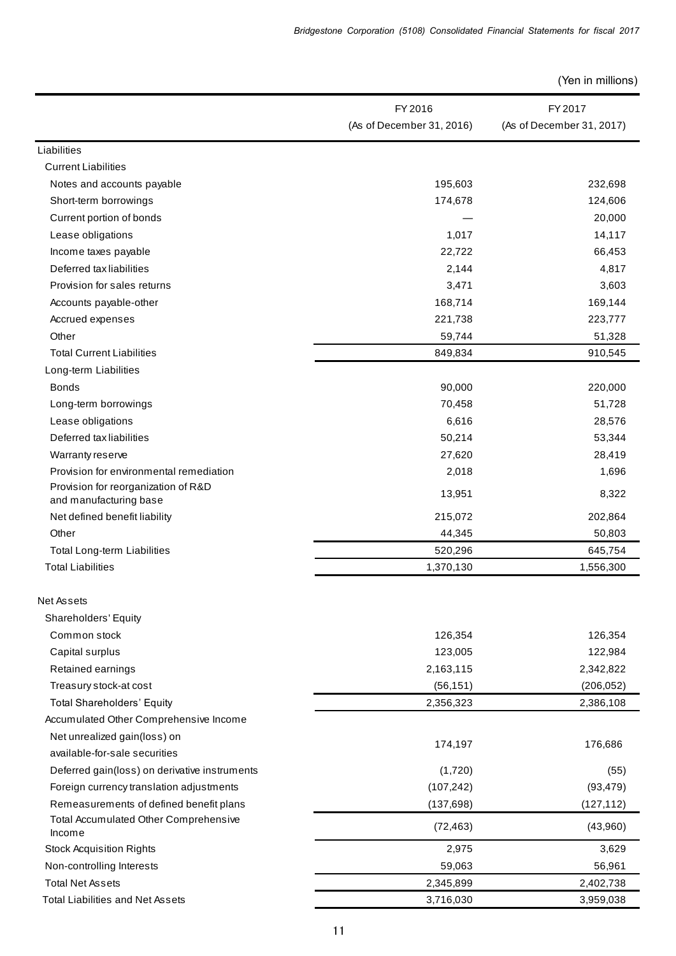|                                               | FY 2016                   | FY 2017                   |
|-----------------------------------------------|---------------------------|---------------------------|
|                                               | (As of December 31, 2016) | (As of December 31, 2017) |
| Liabilities                                   |                           |                           |
| <b>Current Liabilities</b>                    |                           |                           |
| Notes and accounts payable                    | 195,603                   | 232,698                   |
| Short-term borrowings                         | 174,678                   | 124,606                   |
| Current portion of bonds                      |                           | 20,000                    |
| Lease obligations                             | 1,017                     | 14,117                    |
| Income taxes payable                          | 22,722                    | 66,453                    |
| Deferred tax liabilities                      | 2,144                     | 4,817                     |
| Provision for sales returns                   | 3,471                     | 3,603                     |
| Accounts payable-other                        | 168,714                   | 169,144                   |
| Accrued expenses                              | 221,738                   | 223,777                   |
| Other                                         | 59,744                    | 51,328                    |
| <b>Total Current Liabilities</b>              | 849,834                   | 910,545                   |
| Long-term Liabilities                         |                           |                           |
| <b>Bonds</b>                                  | 90,000                    | 220,000                   |
| Long-term borrowings                          | 70,458                    | 51,728                    |
| Lease obligations                             | 6,616                     | 28,576                    |
| Deferred tax liabilities                      | 50,214                    | 53,344                    |
| Warranty reserve                              | 27,620                    | 28,419                    |
| Provision for environmental remediation       | 2,018                     | 1,696                     |
| Provision for reorganization of R&D           |                           |                           |
| and manufacturing base                        | 13,951                    | 8,322                     |
| Net defined benefit liability                 | 215,072                   | 202,864                   |
| Other                                         | 44,345                    | 50,803                    |
| Total Long-term Liabilities                   | 520,296                   | 645,754                   |
| <b>Total Liabilities</b>                      | 1,370,130                 | 1,556,300                 |
| Net Assets                                    |                           |                           |
| Shareholders' Equity                          |                           |                           |
| Common stock                                  | 126,354                   | 126,354                   |
| Capital surplus                               | 123,005                   | 122,984                   |
| Retained earnings                             | 2,163,115                 | 2,342,822                 |
| Treasury stock-at cost                        | (56, 151)                 | (206, 052)                |
| <b>Total Shareholders' Equity</b>             | 2,356,323                 | 2,386,108                 |
| Accumulated Other Comprehensive Income        |                           |                           |
| Net unrealized gain(loss) on                  |                           |                           |
| available-for-sale securities                 | 174,197                   | 176,686                   |
| Deferred gain(loss) on derivative instruments | (1,720)                   | (55)                      |
| Foreign currency translation adjustments      | (107, 242)                | (93, 479)                 |
| Remeasurements of defined benefit plans       | (137, 698)                | (127, 112)                |
| Total Accumulated Other Comprehensive         |                           |                           |
| Income                                        | (72, 463)                 | (43,960)                  |
| <b>Stock Acquisition Rights</b>               | 2,975                     | 3,629                     |
| Non-controlling Interests                     | 59,063                    | 56,961                    |
| <b>Total Net Assets</b>                       | 2,345,899                 | 2,402,738                 |
| <b>Total Liabilities and Net Assets</b>       | 3,716,030                 | 3,959,038                 |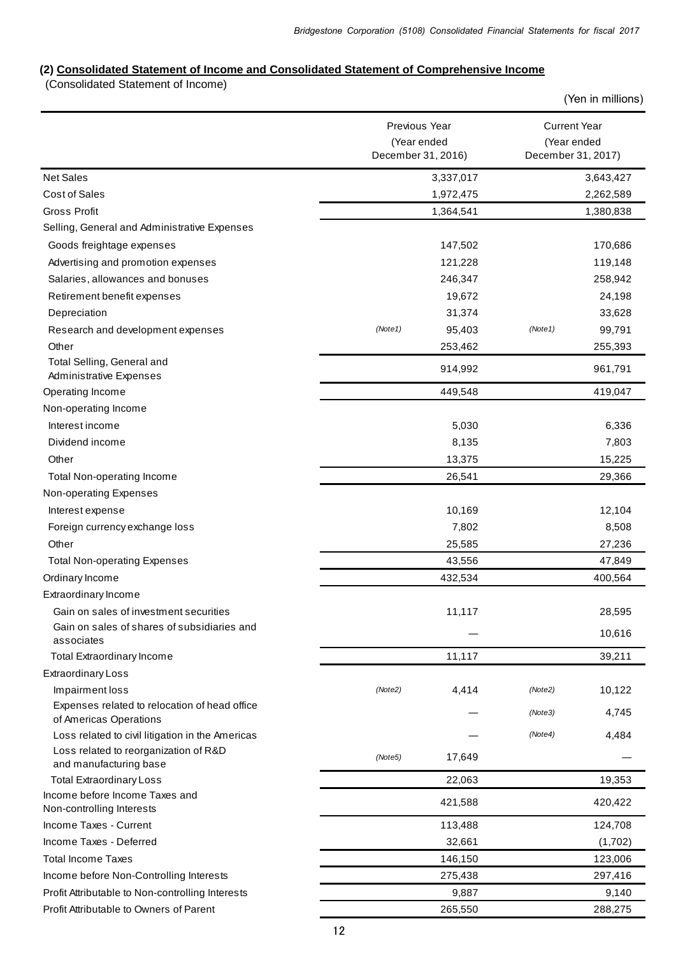# **(2) Consolidated Statement of Income and Consolidated Statement of Comprehensive Income**

(Consolidated Statement of Income)

|                                                                         | Previous Year<br>(Year ended |         | <b>Current Year</b><br>(Year ended |
|-------------------------------------------------------------------------|------------------------------|---------|------------------------------------|
|                                                                         | December 31, 2016)           |         | December 31, 2017)                 |
| <b>Net Sales</b>                                                        | 3,337,017                    |         | 3,643,427                          |
| <b>Cost of Sales</b>                                                    | 1,972,475                    |         | 2,262,589                          |
| <b>Gross Profit</b>                                                     | 1,364,541                    |         | 1,380,838                          |
| Selling, General and Administrative Expenses                            |                              |         |                                    |
| Goods freightage expenses                                               | 147,502                      |         | 170,686                            |
| Advertising and promotion expenses                                      | 121,228                      |         | 119,148                            |
| Salaries, allowances and bonuses                                        | 246,347                      |         | 258,942                            |
| Retirement benefit expenses                                             | 19,672                       |         | 24,198                             |
| Depreciation                                                            | 31,374                       |         | 33,628                             |
| Research and development expenses                                       | (Note1)<br>95,403            | (Note1) | 99,791                             |
| Other                                                                   | 253,462                      |         | 255,393                            |
| Total Selling, General and<br>Administrative Expenses                   | 914,992                      |         | 961,791                            |
| Operating Income                                                        | 449,548                      |         | 419,047                            |
| Non-operating Income                                                    |                              |         |                                    |
| Interest income                                                         | 5,030                        |         | 6,336                              |
| Dividend income                                                         | 8,135                        |         | 7,803                              |
| Other                                                                   | 13,375                       |         | 15,225                             |
| Total Non-operating Income                                              | 26,541                       |         | 29,366                             |
| Non-operating Expenses                                                  |                              |         |                                    |
| Interest expense                                                        | 10,169                       |         | 12,104                             |
| Foreign currency exchange loss                                          | 7,802                        |         | 8,508                              |
| Other                                                                   | 25,585                       |         | 27,236                             |
| <b>Total Non-operating Expenses</b>                                     | 43,556                       |         | 47,849                             |
| Ordinary Income                                                         | 432,534                      |         | 400,564                            |
| Extraordinary Income                                                    |                              |         |                                    |
| Gain on sales of investment securities                                  | 11,117                       |         | 28,595                             |
| Gain on sales of shares of subsidiaries and<br>associates               |                              |         | 10,616                             |
| <b>Total Extraordinary Income</b>                                       | 11,117                       |         | 39,211                             |
| <b>Extraordinary Loss</b>                                               |                              |         |                                    |
| Impairment loss                                                         | (Note2)<br>4,414             | (Note2) | 10,122                             |
| Expenses related to relocation of head office<br>of Americas Operations |                              | (Note3) | 4,745                              |
| Loss related to civil litigation in the Americas                        |                              | (Note4) | 4,484                              |
| Loss related to reorganization of R&D<br>and manufacturing base         | 17,649<br>(Note5)            |         |                                    |
| <b>Total Extraordinary Loss</b>                                         | 22,063                       |         | 19,353                             |
| Income before Income Taxes and<br>Non-controlling Interests             | 421,588                      |         | 420,422                            |
| Income Taxes - Current                                                  | 113,488                      |         | 124,708                            |
| Income Taxes - Deferred                                                 | 32,661                       |         | (1,702)                            |
| <b>Total Income Taxes</b>                                               | 146,150                      |         | 123,006                            |
| Income before Non-Controlling Interests                                 | 275,438                      |         | 297,416                            |
| Profit Attributable to Non-controlling Interests                        | 9,887                        |         | 9,140                              |
| Profit Attributable to Owners of Parent                                 | 265,550                      |         | 288,275                            |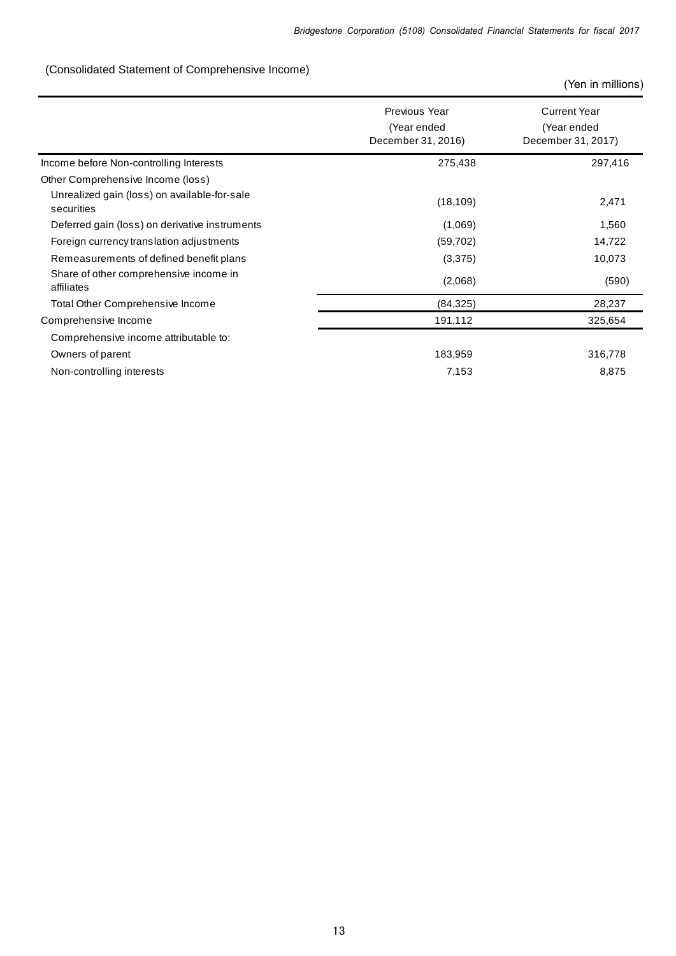# (Consolidated Statement of Comprehensive Income)

|                                                            | Previous Year<br>(Year ended<br>December 31, 2016) | <b>Current Year</b><br>(Year ended<br>December 31, 2017) |
|------------------------------------------------------------|----------------------------------------------------|----------------------------------------------------------|
| Income before Non-controlling Interests                    | 275,438                                            | 297,416                                                  |
| Other Comprehensive Income (loss)                          |                                                    |                                                          |
| Unrealized gain (loss) on available-for-sale<br>securities | (18, 109)                                          | 2,471                                                    |
| Deferred gain (loss) on derivative instruments             | (1,069)                                            | 1,560                                                    |
| Foreign currency translation adjustments                   | (59,702)                                           | 14,722                                                   |
| Remeasurements of defined benefit plans                    | (3,375)                                            | 10,073                                                   |
| Share of other comprehensive income in<br>affiliates       | (2,068)                                            | (590)                                                    |
| Total Other Comprehensive Income                           | (84, 325)                                          | 28,237                                                   |
| Comprehensive Income                                       | 191,112                                            | 325,654                                                  |
| Comprehensive income attributable to:                      |                                                    |                                                          |
| Owners of parent                                           | 183,959                                            | 316,778                                                  |
| Non-controlling interests                                  | 7,153                                              | 8,875                                                    |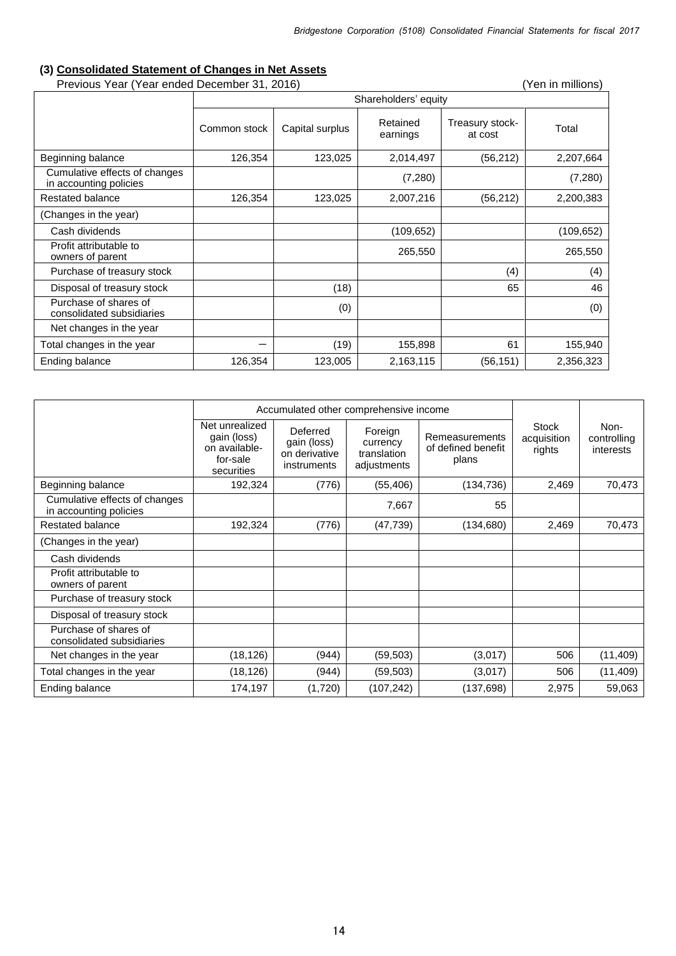# **(3) Consolidated Statement of Changes in Net Assets**

Previous Year (Year ended December 31, 2016) (Yen in millions)

|                                                         | Shareholders' equity |                 |                      |                            |            |  |
|---------------------------------------------------------|----------------------|-----------------|----------------------|----------------------------|------------|--|
|                                                         | Common stock         | Capital surplus | Retained<br>earnings | Treasury stock-<br>at cost | Total      |  |
| Beginning balance                                       | 126,354              | 123,025         | 2,014,497            | (56, 212)                  | 2,207,664  |  |
| Cumulative effects of changes<br>in accounting policies |                      |                 | (7, 280)             |                            | (7, 280)   |  |
| Restated balance                                        | 126,354              | 123,025         | 2,007,216            | (56, 212)                  | 2,200,383  |  |
| (Changes in the year)                                   |                      |                 |                      |                            |            |  |
| Cash dividends                                          |                      |                 | (109, 652)           |                            | (109, 652) |  |
| Profit attributable to<br>owners of parent              |                      |                 | 265,550              |                            | 265,550    |  |
| Purchase of treasury stock                              |                      |                 |                      | (4)                        | (4)        |  |
| Disposal of treasury stock                              |                      | (18)            |                      | 65                         | 46         |  |
| Purchase of shares of<br>consolidated subsidiaries      |                      | (0)             |                      |                            | (0)        |  |
| Net changes in the year                                 |                      |                 |                      |                            |            |  |
| Total changes in the year                               |                      | (19)            | 155,898              | 61                         | 155,940    |  |
| Ending balance                                          | 126,354              | 123,005         | 2,163,115            | (56, 151)                  | 2,356,323  |  |

|                                                         | Accumulated other comprehensive income                                   |                                                         |                                                   |                                               |                                |                                  |
|---------------------------------------------------------|--------------------------------------------------------------------------|---------------------------------------------------------|---------------------------------------------------|-----------------------------------------------|--------------------------------|----------------------------------|
|                                                         | Net unrealized<br>gain (loss)<br>on available-<br>for-sale<br>securities | Deferred<br>gain (loss)<br>on derivative<br>instruments | Foreign<br>currency<br>translation<br>adjustments | Remeasurements<br>of defined benefit<br>plans | Stock<br>acquisition<br>rights | Non-<br>controlling<br>interests |
| Beginning balance                                       | 192,324                                                                  | (776)                                                   | (55, 406)                                         | (134, 736)                                    | 2,469                          | 70,473                           |
| Cumulative effects of changes<br>in accounting policies |                                                                          |                                                         | 7,667                                             | 55                                            |                                |                                  |
| Restated balance                                        | 192,324                                                                  | (776)                                                   | (47, 739)                                         | (134,680)                                     | 2,469                          | 70,473                           |
| (Changes in the year)                                   |                                                                          |                                                         |                                                   |                                               |                                |                                  |
| Cash dividends                                          |                                                                          |                                                         |                                                   |                                               |                                |                                  |
| Profit attributable to<br>owners of parent              |                                                                          |                                                         |                                                   |                                               |                                |                                  |
| Purchase of treasury stock                              |                                                                          |                                                         |                                                   |                                               |                                |                                  |
| Disposal of treasury stock                              |                                                                          |                                                         |                                                   |                                               |                                |                                  |
| Purchase of shares of<br>consolidated subsidiaries      |                                                                          |                                                         |                                                   |                                               |                                |                                  |
| Net changes in the year                                 | (18, 126)                                                                | (944)                                                   | (59, 503)                                         | (3,017)                                       | 506                            | (11, 409)                        |
| Total changes in the year                               | (18, 126)                                                                | (944)                                                   | (59, 503)                                         | (3,017)                                       | 506                            | (11, 409)                        |
| Ending balance                                          | 174,197                                                                  | (1,720)                                                 | (107, 242)                                        | (137, 698)                                    | 2,975                          | 59,063                           |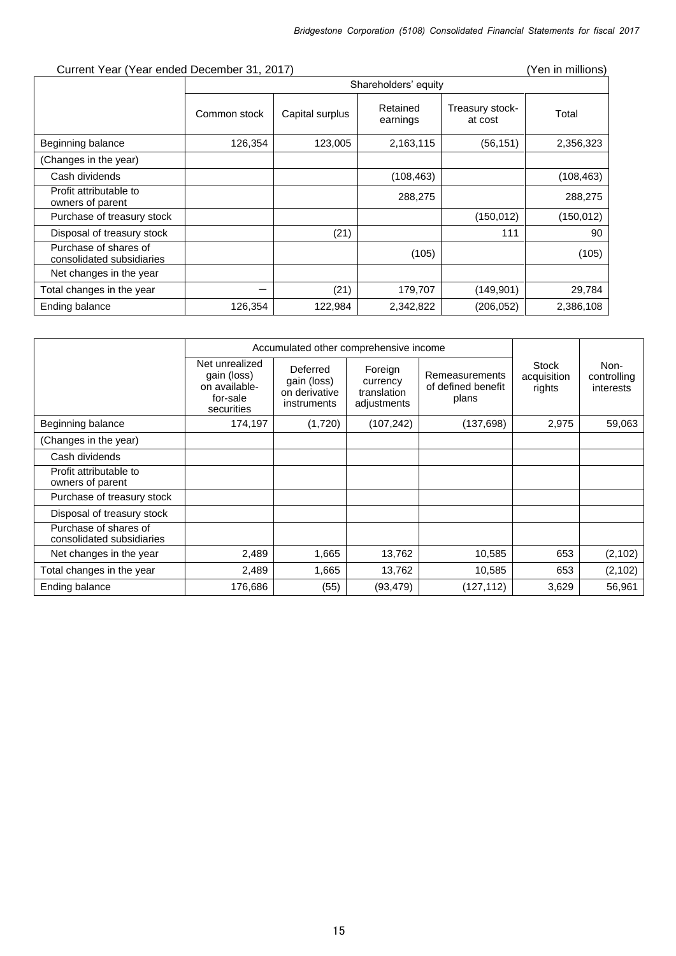|  | Current Year (Year ended December 31, 2017) |  |
|--|---------------------------------------------|--|
|--|---------------------------------------------|--|

|                                                    |              | Shareholders' equity |                      |                            |            |  |
|----------------------------------------------------|--------------|----------------------|----------------------|----------------------------|------------|--|
|                                                    | Common stock | Capital surplus      | Retained<br>earnings | Treasury stock-<br>at cost | Total      |  |
| Beginning balance                                  | 126,354      | 123,005              | 2,163,115            | (56, 151)                  | 2,356,323  |  |
| (Changes in the year)                              |              |                      |                      |                            |            |  |
| Cash dividends                                     |              |                      | (108, 463)           |                            | (108, 463) |  |
| Profit attributable to<br>owners of parent         |              |                      | 288,275              |                            | 288,275    |  |
| Purchase of treasury stock                         |              |                      |                      | (150, 012)                 | (150, 012) |  |
| Disposal of treasury stock                         |              | (21)                 |                      | 111                        | 90         |  |
| Purchase of shares of<br>consolidated subsidiaries |              |                      | (105)                |                            | (105)      |  |
| Net changes in the year                            |              |                      |                      |                            |            |  |
| Total changes in the year                          |              | (21)                 | 179,707              | (149, 901)                 | 29,784     |  |
| Ending balance                                     | 126,354      | 122,984              | 2,342,822            | (206, 052)                 | 2,386,108  |  |
|                                                    |              |                      |                      |                            |            |  |

|                                                    | Accumulated other comprehensive income                                   |                                                         |                                                   |                                               |                                |                                  |
|----------------------------------------------------|--------------------------------------------------------------------------|---------------------------------------------------------|---------------------------------------------------|-----------------------------------------------|--------------------------------|----------------------------------|
|                                                    | Net unrealized<br>gain (loss)<br>on available-<br>for-sale<br>securities | Deferred<br>gain (loss)<br>on derivative<br>instruments | Foreign<br>currency<br>translation<br>adjustments | Remeasurements<br>of defined benefit<br>plans | Stock<br>acquisition<br>rights | Non-<br>controlling<br>interests |
| Beginning balance                                  | 174,197                                                                  | (1,720)                                                 | (107, 242)                                        | (137,698)                                     | 2,975                          | 59,063                           |
| (Changes in the year)                              |                                                                          |                                                         |                                                   |                                               |                                |                                  |
| Cash dividends                                     |                                                                          |                                                         |                                                   |                                               |                                |                                  |
| Profit attributable to<br>owners of parent         |                                                                          |                                                         |                                                   |                                               |                                |                                  |
| Purchase of treasury stock                         |                                                                          |                                                         |                                                   |                                               |                                |                                  |
| Disposal of treasury stock                         |                                                                          |                                                         |                                                   |                                               |                                |                                  |
| Purchase of shares of<br>consolidated subsidiaries |                                                                          |                                                         |                                                   |                                               |                                |                                  |
| Net changes in the year                            | 2,489                                                                    | 1,665                                                   | 13,762                                            | 10,585                                        | 653                            | (2, 102)                         |
| Total changes in the year                          | 2,489                                                                    | 1,665                                                   | 13,762                                            | 10,585                                        | 653                            | (2, 102)                         |
| Ending balance                                     | 176,686                                                                  | (55)                                                    | (93, 479)                                         | (127,112)                                     | 3,629                          | 56,961                           |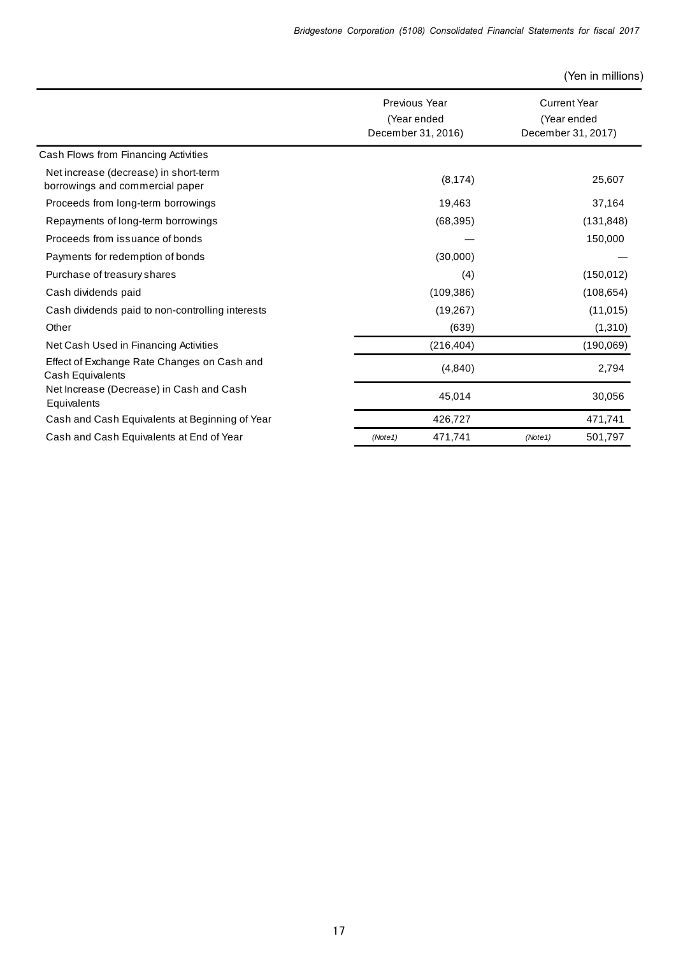|                                                                          | Previous Year<br>(Year ended<br>December 31, 2016) | <b>Current Year</b><br>(Year ended<br>December 31, 2017) |
|--------------------------------------------------------------------------|----------------------------------------------------|----------------------------------------------------------|
| Cash Flows from Financing Activities                                     |                                                    |                                                          |
| Net increase (decrease) in short-term<br>borrowings and commercial paper | (8, 174)                                           | 25,607                                                   |
| Proceeds from long-term borrowings                                       | 19,463                                             | 37,164                                                   |
| Repayments of long-term borrowings                                       | (68, 395)                                          | (131, 848)                                               |
| Proceeds from issuance of bonds                                          |                                                    | 150,000                                                  |
| Payments for redemption of bonds                                         | (30,000)                                           |                                                          |
| Purchase of treasury shares                                              | (4)                                                | (150, 012)                                               |
| Cash dividends paid                                                      | (109, 386)                                         | (108, 654)                                               |
| Cash dividends paid to non-controlling interests                         | (19, 267)                                          | (11, 015)                                                |
| Other                                                                    | (639)                                              | (1,310)                                                  |
| Net Cash Used in Financing Activities                                    | (216, 404)                                         | (190,069)                                                |
| Effect of Exchange Rate Changes on Cash and<br>Cash Equivalents          | (4, 840)                                           | 2,794                                                    |
| Net Increase (Decrease) in Cash and Cash<br>Equivalents                  | 45,014                                             | 30,056                                                   |
| Cash and Cash Equivalents at Beginning of Year                           | 426,727                                            | 471,741                                                  |
| Cash and Cash Equivalents at End of Year                                 | 471,741<br>(Note1)                                 | 501,797<br>(Note1)                                       |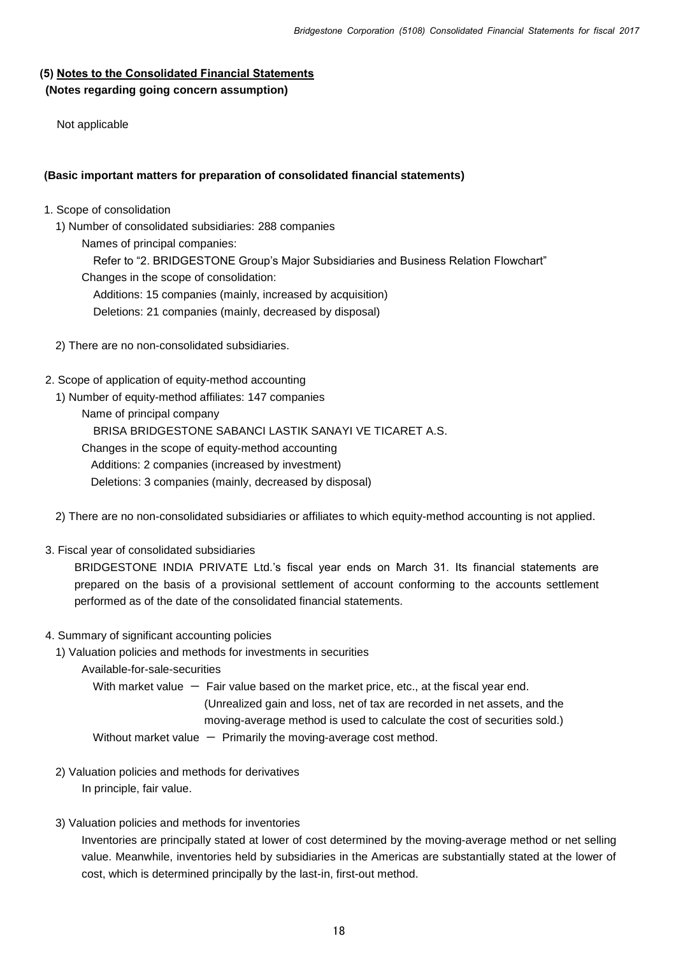### **(5) Notes to the Consolidated Financial Statements (Notes regarding going concern assumption)**

Not applicable

#### **(Basic important matters for preparation of consolidated financial statements)**

- 1. Scope of consolidation
	- 1) Number of consolidated subsidiaries: 288 companies
		- Names of principal companies:

Refer to "2. BRIDGESTONE Group's Major Subsidiaries and Business Relation Flowchart"

- Changes in the scope of consolidation:
	- Additions: 15 companies (mainly, increased by acquisition)
	- Deletions: 21 companies (mainly, decreased by disposal)
- 2) There are no non-consolidated subsidiaries.
- 2. Scope of application of equity-method accounting
	- 1) Number of equity-method affiliates: 147 companies
		- Name of principal company
		- BRISA BRIDGESTONE SABANCI LASTIK SANAYI VE TICARET A.S.
		- Changes in the scope of equity-method accounting
			- Additions: 2 companies (increased by investment)

Deletions: 3 companies (mainly, decreased by disposal)

- 2) There are no non-consolidated subsidiaries or affiliates to which equity-method accounting is not applied.
- 3. Fiscal year of consolidated subsidiaries

 BRIDGESTONE INDIA PRIVATE Ltd.'s fiscal year ends on March 31. Its financial statements are prepared on the basis of a provisional settlement of account conforming to the accounts settlement performed as of the date of the consolidated financial statements.

4. Summary of significant accounting policies

1) Valuation policies and methods for investments in securities

Available-for-sale-securities

With market value  $-$  Fair value based on the market price, etc., at the fiscal year end. (Unrealized gain and loss, net of tax are recorded in net assets, and the moving-average method is used to calculate the cost of securities sold.) Without market value  $-$  Primarily the moving-average cost method.

- 2) Valuation policies and methods for derivatives In principle, fair value.
- 3) Valuation policies and methods for inventories

Inventories are principally stated at lower of cost determined by the moving-average method or net selling value. Meanwhile, inventories held by subsidiaries in the Americas are substantially stated at the lower of cost, which is determined principally by the last-in, first-out method.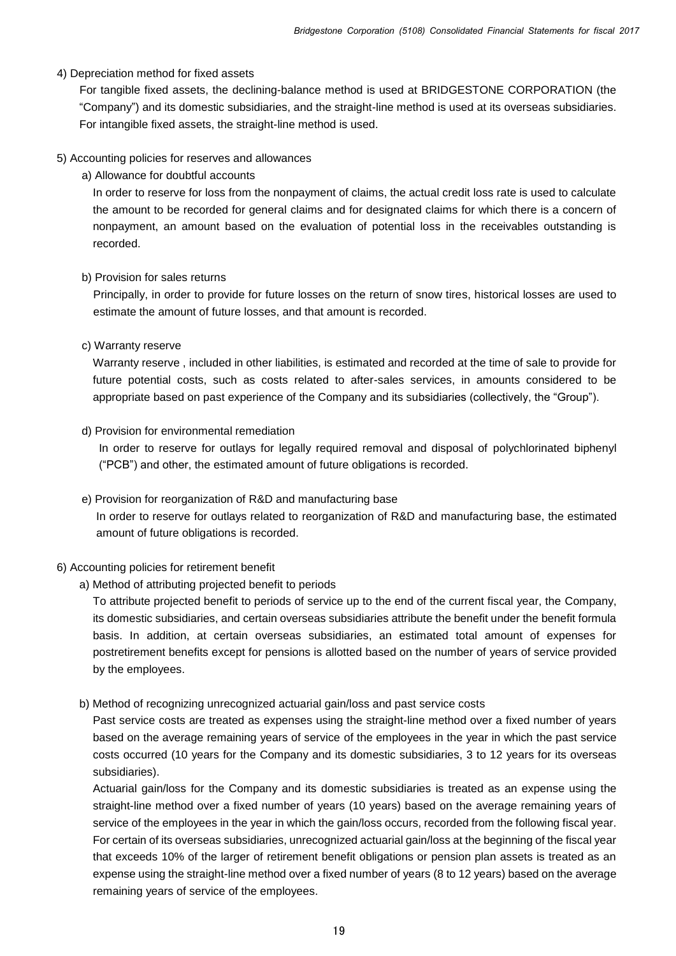#### 4) Depreciation method for fixed assets

 For tangible fixed assets, the declining-balance method is used at BRIDGESTONE CORPORATION (the "Company") and its domestic subsidiaries, and the straight-line method is used at its overseas subsidiaries. For intangible fixed assets, the straight-line method is used.

#### 5) Accounting policies for reserves and allowances

a) Allowance for doubtful accounts

In order to reserve for loss from the nonpayment of claims, the actual credit loss rate is used to calculate the amount to be recorded for general claims and for designated claims for which there is a concern of nonpayment, an amount based on the evaluation of potential loss in the receivables outstanding is recorded.

#### b) Provision for sales returns

Principally, in order to provide for future losses on the return of snow tires, historical losses are used to estimate the amount of future losses, and that amount is recorded.

#### c) Warranty reserve

Warranty reserve , included in other liabilities, is estimated and recorded at the time of sale to provide for future potential costs, such as costs related to after-sales services, in amounts considered to be appropriate based on past experience of the Company and its subsidiaries (collectively, the "Group").

#### d) Provision for environmental remediation

In order to reserve for outlays for legally required removal and disposal of polychlorinated biphenyl ("PCB") and other, the estimated amount of future obligations is recorded.

e) Provision for reorganization of R&D and manufacturing base

In order to reserve for outlays related to reorganization of R&D and manufacturing base, the estimated amount of future obligations is recorded.

#### 6) Accounting policies for retirement benefit

a) Method of attributing projected benefit to periods

To attribute projected benefit to periods of service up to the end of the current fiscal year, the Company, its domestic subsidiaries, and certain overseas subsidiaries attribute the benefit under the benefit formula basis. In addition, at certain overseas subsidiaries, an estimated total amount of expenses for postretirement benefits except for pensions is allotted based on the number of years of service provided by the employees.

b) Method of recognizing unrecognized actuarial gain/loss and past service costs

Past service costs are treated as expenses using the straight-line method over a fixed number of years based on the average remaining years of service of the employees in the year in which the past service costs occurred (10 years for the Company and its domestic subsidiaries, 3 to 12 years for its overseas subsidiaries).

Actuarial gain/loss for the Company and its domestic subsidiaries is treated as an expense using the straight-line method over a fixed number of years (10 years) based on the average remaining years of service of the employees in the year in which the gain/loss occurs, recorded from the following fiscal year. For certain of its overseas subsidiaries, unrecognized actuarial gain/loss at the beginning of the fiscal year that exceeds 10% of the larger of retirement benefit obligations or pension plan assets is treated as an expense using the straight-line method over a fixed number of years (8 to 12 years) based on the average remaining years of service of the employees.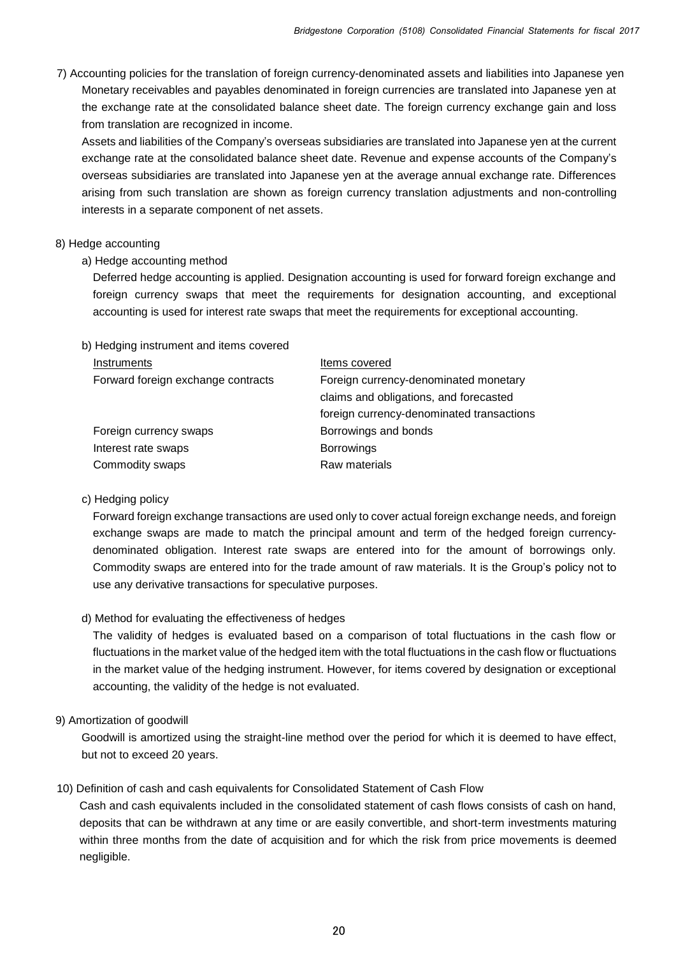7) Accounting policies for the translation of foreign currency-denominated assets and liabilities into Japanese yen Monetary receivables and payables denominated in foreign currencies are translated into Japanese yen at the exchange rate at the consolidated balance sheet date. The foreign currency exchange gain and loss from translation are recognized in income.

Assets and liabilities of the Company's overseas subsidiaries are translated into Japanese yen at the current exchange rate at the consolidated balance sheet date. Revenue and expense accounts of the Company's overseas subsidiaries are translated into Japanese yen at the average annual exchange rate. Differences arising from such translation are shown as foreign currency translation adjustments and non-controlling interests in a separate component of net assets.

#### 8) Hedge accounting

### a) Hedge accounting method

Deferred hedge accounting is applied. Designation accounting is used for forward foreign exchange and foreign currency swaps that meet the requirements for designation accounting, and exceptional accounting is used for interest rate swaps that meet the requirements for exceptional accounting.

#### b) Hedging instrument and items covered

| Items covered                             |
|-------------------------------------------|
| Foreign currency-denominated monetary     |
| claims and obligations, and forecasted    |
| foreign currency-denominated transactions |
| Borrowings and bonds                      |
| <b>Borrowings</b>                         |
| Raw materials                             |
|                                           |

#### c) Hedging policy

Forward foreign exchange transactions are used only to cover actual foreign exchange needs, and foreign exchange swaps are made to match the principal amount and term of the hedged foreign currencydenominated obligation. Interest rate swaps are entered into for the amount of borrowings only. Commodity swaps are entered into for the trade amount of raw materials. It is the Group's policy not to use any derivative transactions for speculative purposes.

#### d) Method for evaluating the effectiveness of hedges

The validity of hedges is evaluated based on a comparison of total fluctuations in the cash flow or fluctuations in the market value of the hedged item with the total fluctuations in the cash flow or fluctuations in the market value of the hedging instrument. However, for items covered by designation or exceptional accounting, the validity of the hedge is not evaluated.

## 9) Amortization of goodwill

Goodwill is amortized using the straight-line method over the period for which it is deemed to have effect, but not to exceed 20 years.

## 10) Definition of cash and cash equivalents for Consolidated Statement of Cash Flow

Cash and cash equivalents included in the consolidated statement of cash flows consists of cash on hand, deposits that can be withdrawn at any time or are easily convertible, and short-term investments maturing within three months from the date of acquisition and for which the risk from price movements is deemed negligible.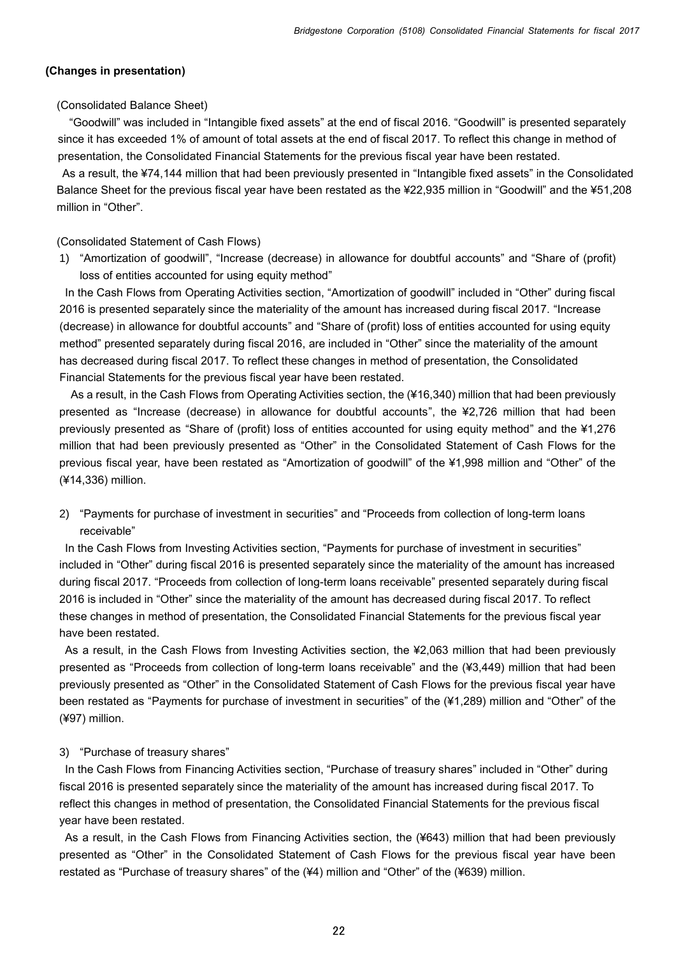#### **(Changes in presentation)**

#### (Consolidated Balance Sheet)

"Goodwill" was included in "Intangible fixed assets" at the end of fiscal 2016. "Goodwill" is presented separately since it has exceeded 1% of amount of total assets at the end of fiscal 2017. To reflect this change in method of presentation, the Consolidated Financial Statements for the previous fiscal year have been restated.

As a result, the ¥74,144 million that had been previously presented in "Intangible fixed assets" in the Consolidated Balance Sheet for the previous fiscal year have been restated as the ¥22,935 million in "Goodwill" and the ¥51,208 million in "Other".

#### (Consolidated Statement of Cash Flows)

1) "Amortization of goodwill", "Increase (decrease) in allowance for doubtful accounts" and "Share of (profit) loss of entities accounted for using equity method"

In the Cash Flows from Operating Activities section, "Amortization of goodwill" included in "Other" during fiscal 2016 is presented separately since the materiality of the amount has increased during fiscal 2017. "Increase (decrease) in allowance for doubtful accounts" and "Share of (profit) loss of entities accounted for using equity method" presented separately during fiscal 2016, are included in "Other" since the materiality of the amount has decreased during fiscal 2017. To reflect these changes in method of presentation, the Consolidated Financial Statements for the previous fiscal year have been restated.

As a result, in the Cash Flows from Operating Activities section, the (¥16,340) million that had been previously presented as "Increase (decrease) in allowance for doubtful accounts", the ¥2,726 million that had been previously presented as "Share of (profit) loss of entities accounted for using equity method" and the ¥1,276 million that had been previously presented as "Other" in the Consolidated Statement of Cash Flows for the previous fiscal year, have been restated as "Amortization of goodwill" of the ¥1,998 million and "Other" of the (¥14,336) million.

2) "Payments for purchase of investment in securities" and "Proceeds from collection of long-term loans receivable"

In the Cash Flows from Investing Activities section, "Payments for purchase of investment in securities" included in "Other" during fiscal 2016 is presented separately since the materiality of the amount has increased during fiscal 2017. "Proceeds from collection of long-term loans receivable" presented separately during fiscal 2016 is included in "Other" since the materiality of the amount has decreased during fiscal 2017. To reflect these changes in method of presentation, the Consolidated Financial Statements for the previous fiscal year have been restated.

As a result, in the Cash Flows from Investing Activities section, the ¥2,063 million that had been previously presented as "Proceeds from collection of long-term loans receivable" and the (¥3,449) million that had been previously presented as "Other" in the Consolidated Statement of Cash Flows for the previous fiscal year have been restated as "Payments for purchase of investment in securities" of the (¥1,289) million and "Other" of the (¥97) million.

#### 3) "Purchase of treasury shares"

In the Cash Flows from Financing Activities section, "Purchase of treasury shares" included in "Other" during fiscal 2016 is presented separately since the materiality of the amount has increased during fiscal 2017. To reflect this changes in method of presentation, the Consolidated Financial Statements for the previous fiscal year have been restated.

As a result, in the Cash Flows from Financing Activities section, the (¥643) million that had been previously presented as "Other" in the Consolidated Statement of Cash Flows for the previous fiscal year have been restated as "Purchase of treasury shares" of the (¥4) million and "Other" of the (¥639) million.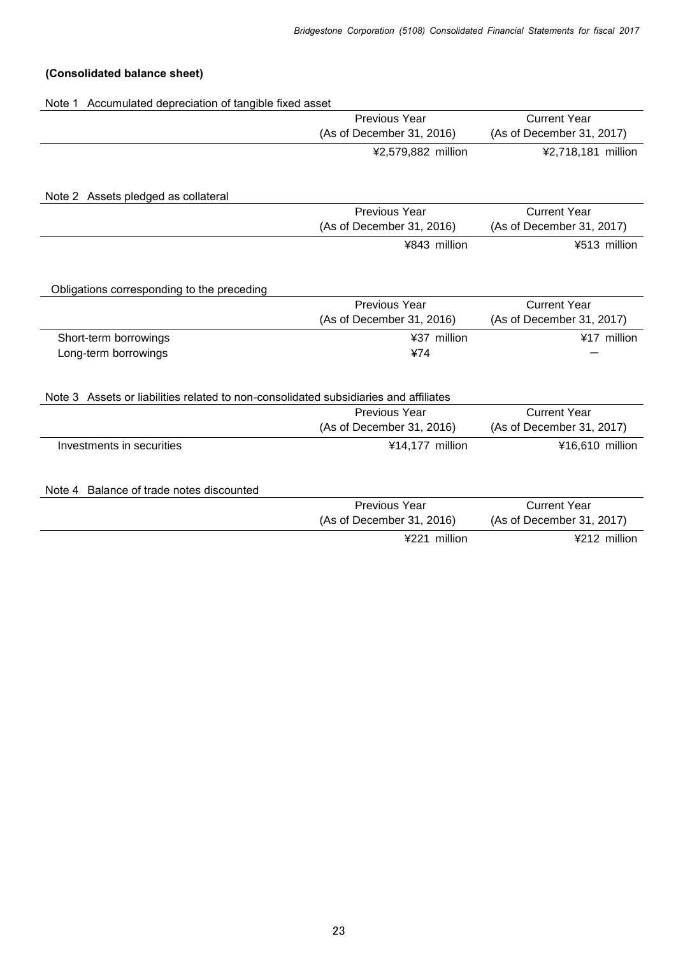# **(Consolidated balance sheet)**

Note 1 Accumulated depreciation of tangible fixed asset

|                                                                                      | Previous Year             | <b>Current Year</b>       |  |  |
|--------------------------------------------------------------------------------------|---------------------------|---------------------------|--|--|
|                                                                                      | (As of December 31, 2016) | (As of December 31, 2017) |  |  |
|                                                                                      | ¥2,579,882 million        | ¥2,718,181 million        |  |  |
|                                                                                      |                           |                           |  |  |
| Note 2 Assets pledged as collateral                                                  |                           |                           |  |  |
|                                                                                      | Previous Year             | <b>Current Year</b>       |  |  |
|                                                                                      | (As of December 31, 2016) | (As of December 31, 2017) |  |  |
|                                                                                      | ¥843 million              | ¥513 million              |  |  |
|                                                                                      |                           |                           |  |  |
| Obligations corresponding to the preceding                                           | Previous Year             | <b>Current Year</b>       |  |  |
|                                                                                      | (As of December 31, 2016) | (As of December 31, 2017) |  |  |
|                                                                                      |                           |                           |  |  |
| Short-term borrowings                                                                | ¥37 million               | ¥17 million               |  |  |
| Long-term borrowings                                                                 | ¥74                       |                           |  |  |
| Note 3 Assets or liabilities related to non-consolidated subsidiaries and affiliates |                           |                           |  |  |
|                                                                                      | Previous Year             | <b>Current Year</b>       |  |  |
|                                                                                      | (As of December 31, 2016) | (As of December 31, 2017) |  |  |
| Investments in securities                                                            | ¥14,177 million           | ¥16,610 million           |  |  |
| Note 4 Balance of trade notes discounted                                             |                           |                           |  |  |
|                                                                                      | Previous Year             | <b>Current Year</b>       |  |  |
|                                                                                      | (As of December 31, 2016) | (As of December 31, 2017) |  |  |
|                                                                                      | ¥221 million              | ¥212 million              |  |  |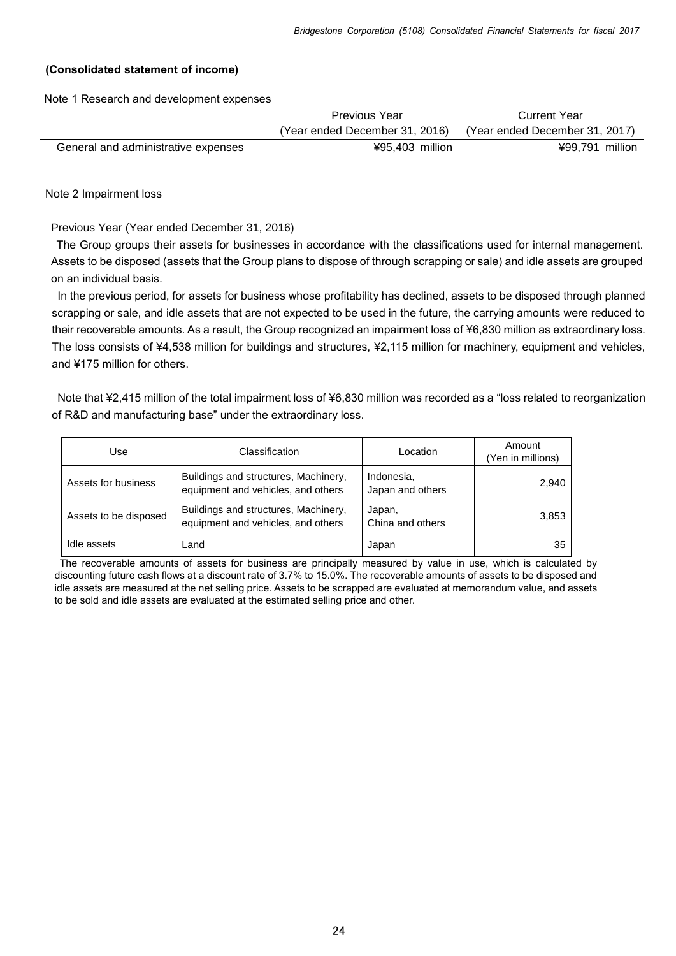#### **(Consolidated statement of income)**

Note 1 Research and development expenses

|                                     | <b>Previous Year</b>           | <b>Current Year</b>            |
|-------------------------------------|--------------------------------|--------------------------------|
|                                     | (Year ended December 31, 2016) | (Year ended December 31, 2017) |
| General and administrative expenses | ¥95.403 million                | ¥99,791 million                |

Note 2 Impairment loss

Previous Year (Year ended December 31, 2016)

The Group groups their assets for businesses in accordance with the classifications used for internal management. Assets to be disposed (assets that the Group plans to dispose of through scrapping or sale) and idle assets are grouped on an individual basis.

In the previous period, for assets for business whose profitability has declined, assets to be disposed through planned scrapping or sale, and idle assets that are not expected to be used in the future, the carrying amounts were reduced to their recoverable amounts. As a result, the Group recognized an impairment loss of ¥6,830 million as extraordinary loss. The loss consists of ¥4,538 million for buildings and structures, ¥2,115 million for machinery, equipment and vehicles, and ¥175 million for others.

Note that ¥2,415 million of the total impairment loss of ¥6,830 million was recorded as a "loss related to reorganization of R&D and manufacturing base" under the extraordinary loss.

| Use                   | Classification                                                             | Location                       | Amount<br>(Yen in millions) |
|-----------------------|----------------------------------------------------------------------------|--------------------------------|-----------------------------|
| Assets for business   | Buildings and structures, Machinery,<br>equipment and vehicles, and others | Indonesia,<br>Japan and others | 2,940                       |
| Assets to be disposed | Buildings and structures, Machinery,<br>equipment and vehicles, and others | Japan,<br>China and others     | 3,853                       |
| Idle assets           | Land                                                                       | Japan                          | 35                          |

 The recoverable amounts of assets for business are principally measured by value in use, which is calculated by discounting future cash flows at a discount rate of 3.7% to 15.0%. The recoverable amounts of assets to be disposed and idle assets are measured at the net selling price. Assets to be scrapped are evaluated at memorandum value, and assets to be sold and idle assets are evaluated at the estimated selling price and other.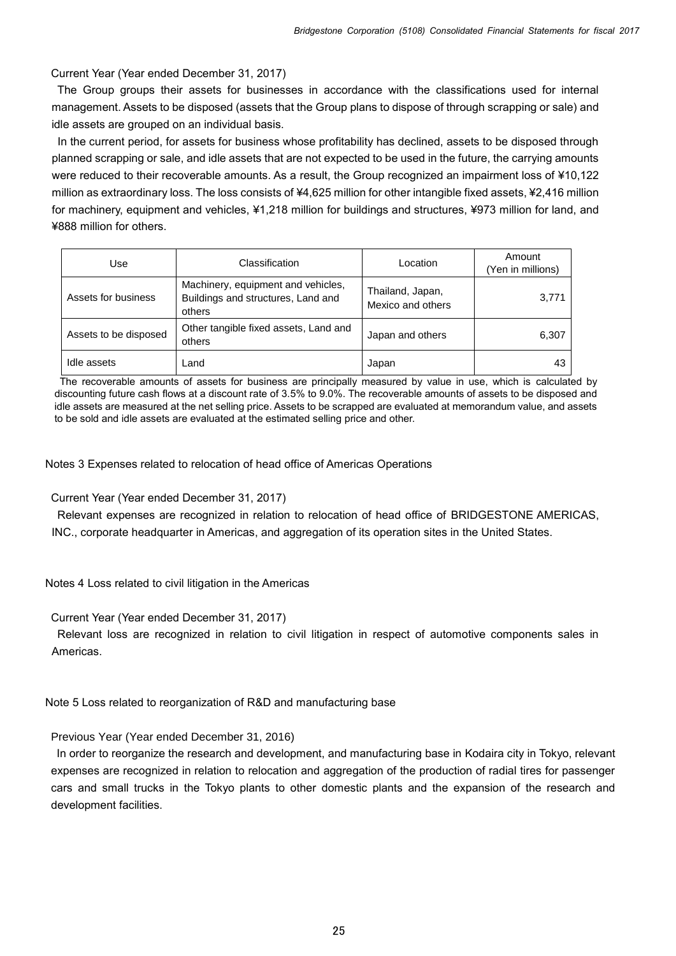Current Year (Year ended December 31, 2017)

 The Group groups their assets for businesses in accordance with the classifications used for internal management. Assets to be disposed (assets that the Group plans to dispose of through scrapping or sale) and idle assets are grouped on an individual basis.

In the current period, for assets for business whose profitability has declined, assets to be disposed through planned scrapping or sale, and idle assets that are not expected to be used in the future, the carrying amounts were reduced to their recoverable amounts. As a result, the Group recognized an impairment loss of ¥10,122 million as extraordinary loss. The loss consists of ¥4,625 million for other intangible fixed assets, ¥2,416 million for machinery, equipment and vehicles, ¥1,218 million for buildings and structures, ¥973 million for land, and ¥888 million for others.

| Use                   | Classification                                                                     | Location                              | Amount<br>(Yen in millions) |
|-----------------------|------------------------------------------------------------------------------------|---------------------------------------|-----------------------------|
| Assets for business   | Machinery, equipment and vehicles,<br>Buildings and structures, Land and<br>others | Thailand, Japan,<br>Mexico and others | 3,771                       |
| Assets to be disposed | Other tangible fixed assets, Land and<br>others                                    | Japan and others                      | 6,307                       |
| Idle assets           | Land                                                                               | Japan                                 | 43                          |

 The recoverable amounts of assets for business are principally measured by value in use, which is calculated by discounting future cash flows at a discount rate of 3.5% to 9.0%. The recoverable amounts of assets to be disposed and idle assets are measured at the net selling price. Assets to be scrapped are evaluated at memorandum value, and assets to be sold and idle assets are evaluated at the estimated selling price and other.

Notes 3 Expenses related to relocation of head office of Americas Operations

Current Year (Year ended December 31, 2017)

 Relevant expenses are recognized in relation to relocation of head office of BRIDGESTONE AMERICAS, INC., corporate headquarter in Americas, and aggregation of its operation sites in the United States.

Notes 4 Loss related to civil litigation in the Americas

Current Year (Year ended December 31, 2017)

 Relevant loss are recognized in relation to civil litigation in respect of automotive components sales in Americas.

Note 5 Loss related to reorganization of R&D and manufacturing base

Previous Year (Year ended December 31, 2016)

In order to reorganize the research and development, and manufacturing base in Kodaira city in Tokyo, relevant expenses are recognized in relation to relocation and aggregation of the production of radial tires for passenger cars and small trucks in the Tokyo plants to other domestic plants and the expansion of the research and development facilities.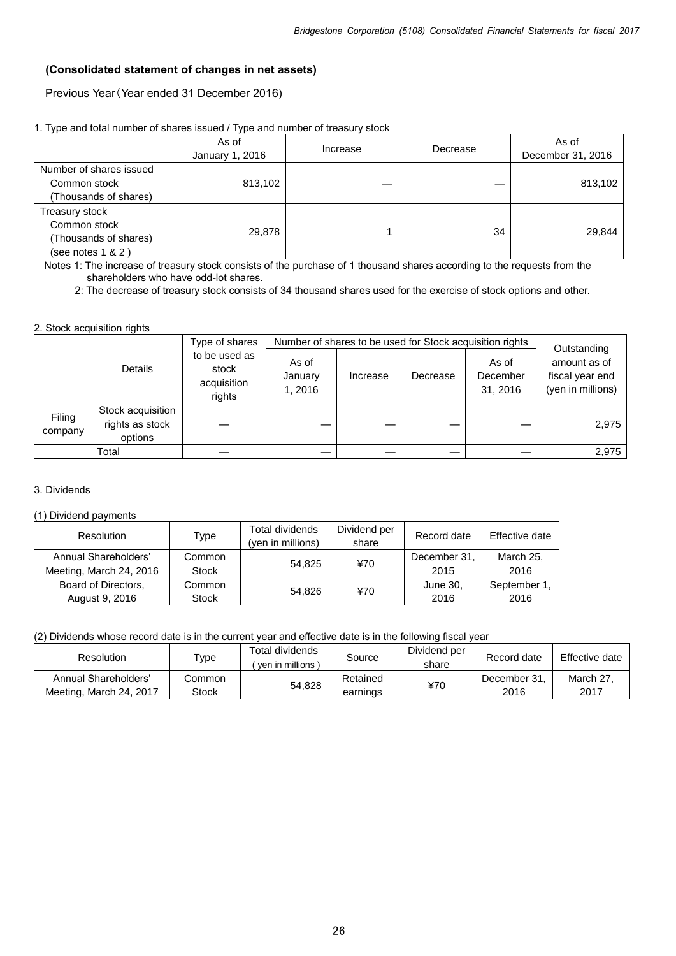### **(Consolidated statement of changes in net assets)**

Previous Year(Year ended 31 December 2016)

|                                                                                 | As of<br>January 1, 2016 | Increase | Decrease | As of<br>December 31, 2016 |
|---------------------------------------------------------------------------------|--------------------------|----------|----------|----------------------------|
| Number of shares issued<br>Common stock<br>Thousands of shares)                 | 813,102                  |          |          | 813,102                    |
| Treasury stock<br>Common stock<br>(Thousands of shares)<br>(see notes $1 & 2$ ) | 29.878                   |          | 34       | 29,844                     |

Notes 1: The increase of treasury stock consists of the purchase of 1 thousand shares according to the requests from the shareholders who have odd-lot shares.

2: The decrease of treasury stock consists of 34 thousand shares used for the exercise of stock options and other.

#### 2. Stock acquisition rights

|                   |                                                 | Type of shares                                  |                             |          |          | Number of shares to be used for Stock acquisition rights | Outstanding                                          |
|-------------------|-------------------------------------------------|-------------------------------------------------|-----------------------------|----------|----------|----------------------------------------------------------|------------------------------------------------------|
|                   | Details                                         | to be used as<br>stock<br>acquisition<br>rights | As of<br>January<br>1, 2016 | Increase | Decrease | As of<br>December<br>31, 2016                            | amount as of<br>fiscal year end<br>(yen in millions) |
| Filing<br>company | Stock acquisition<br>rights as stock<br>options |                                                 |                             |          |          |                                                          | 2,975                                                |
|                   | Total                                           |                                                 |                             |          |          |                                                          | 2,975                                                |

#### 3. Dividends

#### (1) Dividend payments

| Resolution                                      | Type                   | Total dividends<br>(yen in millions) | Dividend per<br>share | Record date          | Effective date    |
|-------------------------------------------------|------------------------|--------------------------------------|-----------------------|----------------------|-------------------|
| Annual Shareholders'<br>Meeting, March 24, 2016 | Common<br><b>Stock</b> | 54.825                               | ¥70                   | December 31,<br>2015 | March 25,<br>2016 |
| Board of Directors,                             | Common                 | 54.826                               | ¥70                   | June 30,             | September 1,      |
| August 9, 2016                                  | <b>Stock</b>           |                                      |                       | 2016                 | 2016              |

(2) Dividends whose record date is in the current year and effective date is in the following fiscal year

| Resolution              | $_{\text{Type}}$ | Total dividends<br>ven in millions | Source   | Dividend per<br>share | Record date  | Effective date |
|-------------------------|------------------|------------------------------------|----------|-----------------------|--------------|----------------|
| Annual Shareholders'    | Common           | 54,828                             | Retained | 470                   | December 31. | March 27       |
| Meeting, March 24, 2017 | <b>Stock</b>     |                                    | earnings |                       | 2016         | 2017           |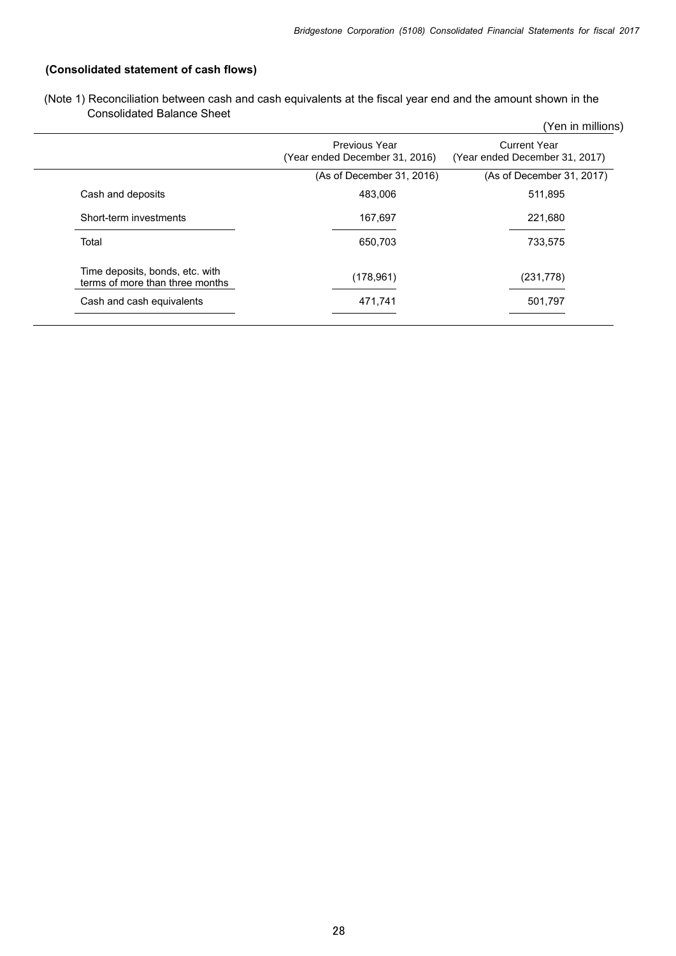# **(Consolidated statement of cash flows)**

| (Note 1) Reconciliation between cash and cash equivalents at the fiscal year end and the amount shown in the |  |  |
|--------------------------------------------------------------------------------------------------------------|--|--|
| <b>Consolidated Balance Sheet</b>                                                                            |  |  |

| Consolidated Balance Sheet                                         |                                                 | (Yen in millions)                                     |
|--------------------------------------------------------------------|-------------------------------------------------|-------------------------------------------------------|
|                                                                    | Previous Year<br>(Year ended December 31, 2016) | <b>Current Year</b><br>(Year ended December 31, 2017) |
|                                                                    | (As of December 31, 2016)                       | (As of December 31, 2017)                             |
| Cash and deposits                                                  | 483,006                                         | 511,895                                               |
| Short-term investments                                             | 167,697                                         | 221,680                                               |
| Total                                                              | 650,703                                         | 733,575                                               |
| Time deposits, bonds, etc. with<br>terms of more than three months | (178, 961)                                      | (231, 778)                                            |
| Cash and cash equivalents                                          | 471,741                                         | 501,797                                               |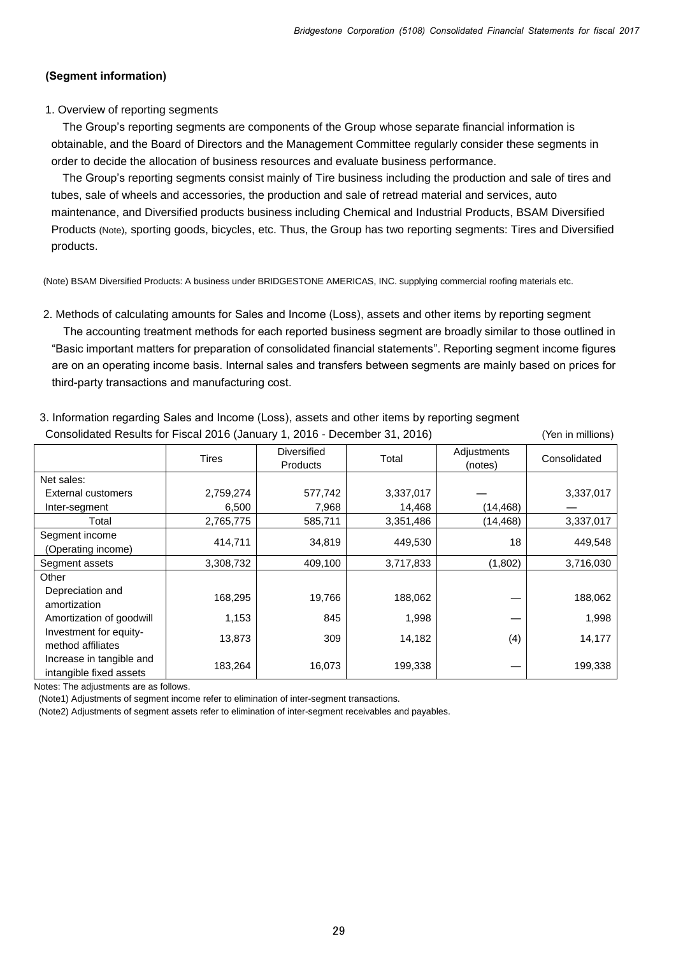#### **(Segment information)**

#### 1. Overview of reporting segments

The Group's reporting segments are components of the Group whose separate financial information is obtainable, and the Board of Directors and the Management Committee regularly consider these segments in order to decide the allocation of business resources and evaluate business performance.

The Group's reporting segments consist mainly of Tire business including the production and sale of tires and tubes, sale of wheels and accessories, the production and sale of retread material and services, auto maintenance, and Diversified products business including Chemical and Industrial Products, BSAM Diversified Products (Note), sporting goods, bicycles, etc. Thus, the Group has two reporting segments: Tires and Diversified products.

(Note) BSAM Diversified Products: A business under BRIDGESTONE AMERICAS, INC. supplying commercial roofing materials etc.

2. Methods of calculating amounts for Sales and Income (Loss), assets and other items by reporting segment

The accounting treatment methods for each reported business segment are broadly similar to those outlined in "Basic important matters for preparation of consolidated financial statements". Reporting segment income figures are on an operating income basis. Internal sales and transfers between segments are mainly based on prices for third-party transactions and manufacturing cost.

| Consolidated Results for Fiscal 2016 (January 1, 2016 - December 31, 2016) |           |                                       |           |                        |              |
|----------------------------------------------------------------------------|-----------|---------------------------------------|-----------|------------------------|--------------|
|                                                                            | Tires     | <b>Diversified</b><br><b>Products</b> | Total     | Adjustments<br>(notes) | Consolidated |
| Net sales:                                                                 |           |                                       |           |                        |              |
| <b>External customers</b>                                                  | 2,759,274 | 577,742                               | 3,337,017 |                        | 3,337,017    |
| Inter-segment                                                              | 6,500     | 7,968                                 | 14,468    | (14, 468)              |              |
| Total                                                                      | 2,765,775 | 585,711                               | 3,351,486 | (14,468)               | 3,337,017    |
| Segment income<br>(Operating income)                                       | 414,711   | 34,819                                | 449,530   | 18                     | 449,548      |
| Segment assets                                                             | 3,308,732 | 409,100                               | 3,717,833 | (1,802)                | 3,716,030    |
| Other                                                                      |           |                                       |           |                        |              |
| Depreciation and<br>amortization                                           | 168,295   | 19,766                                | 188,062   |                        | 188,062      |
| Amortization of goodwill                                                   | 1,153     | 845                                   | 1,998     |                        | 1,998        |
| Investment for equity-<br>method affiliates                                | 13,873    | 309                                   | 14,182    | (4)                    | 14,177       |
| Increase in tangible and<br>intangible fixed assets                        | 183,264   | 16,073                                | 199,338   |                        | 199,338      |

3. Information regarding Sales and Income (Loss), assets and other items by reporting segment

Notes: The adjustments are as follows.

(Note1) Adjustments of segment income refer to elimination of inter-segment transactions.

(Note2) Adjustments of segment assets refer to elimination of inter-segment receivables and payables.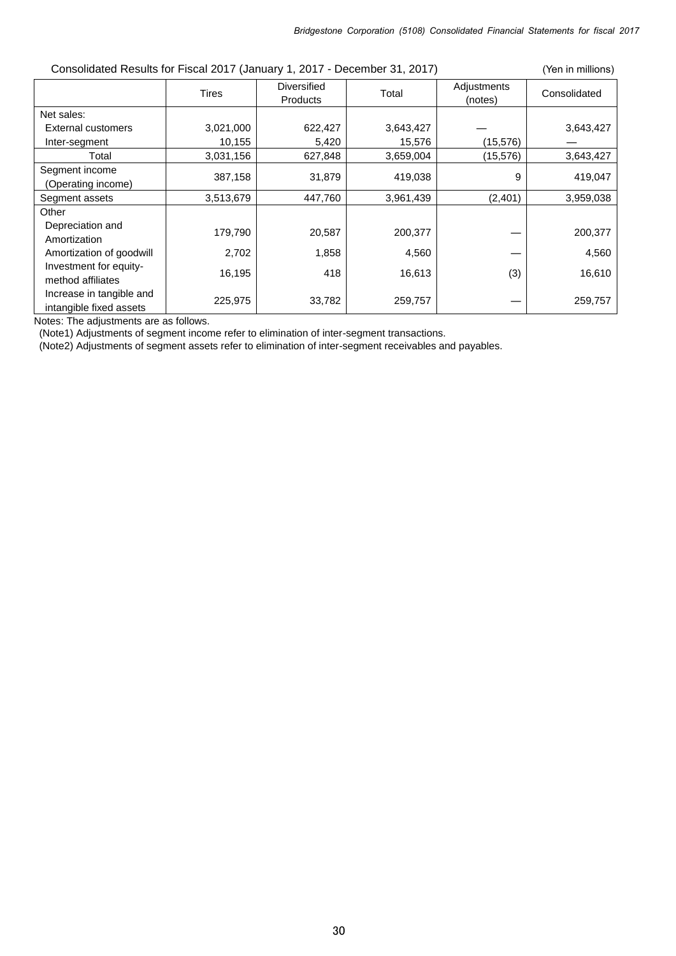| Consolidated Results for Fiscal 2017 (January 1, 2017 - December 31, 2017)<br>(Yen in millions) |              |                                       |           |                        |              |
|-------------------------------------------------------------------------------------------------|--------------|---------------------------------------|-----------|------------------------|--------------|
|                                                                                                 | <b>Tires</b> | <b>Diversified</b><br><b>Products</b> | Total     | Adjustments<br>(notes) | Consolidated |
| Net sales:                                                                                      |              |                                       |           |                        |              |
| External customers                                                                              | 3,021,000    | 622,427                               | 3,643,427 |                        | 3,643,427    |
| Inter-segment                                                                                   | 10,155       | 5,420                                 | 15,576    | (15, 576)              |              |
| Total                                                                                           | 3,031,156    | 627,848                               | 3,659,004 | (15, 576)              | 3,643,427    |
| Segment income<br>(Operating income)                                                            | 387,158      | 31,879                                | 419,038   | 9                      | 419,047      |
| Segment assets                                                                                  | 3,513,679    | 447,760                               | 3,961,439 | (2,401)                | 3,959,038    |
| Other                                                                                           |              |                                       |           |                        |              |
| Depreciation and<br>Amortization                                                                | 179,790      | 20,587                                | 200,377   |                        | 200,377      |
| Amortization of goodwill                                                                        | 2,702        | 1,858                                 | 4,560     |                        | 4,560        |
| Investment for equity-<br>method affiliates                                                     | 16,195       | 418                                   | 16,613    | (3)                    | 16,610       |
| Increase in tangible and<br>intangible fixed assets                                             | 225,975      | 33,782                                | 259,757   |                        | 259,757      |

Notes: The adjustments are as follows.

(Note1) Adjustments of segment income refer to elimination of inter-segment transactions.

(Note2) Adjustments of segment assets refer to elimination of inter-segment receivables and payables.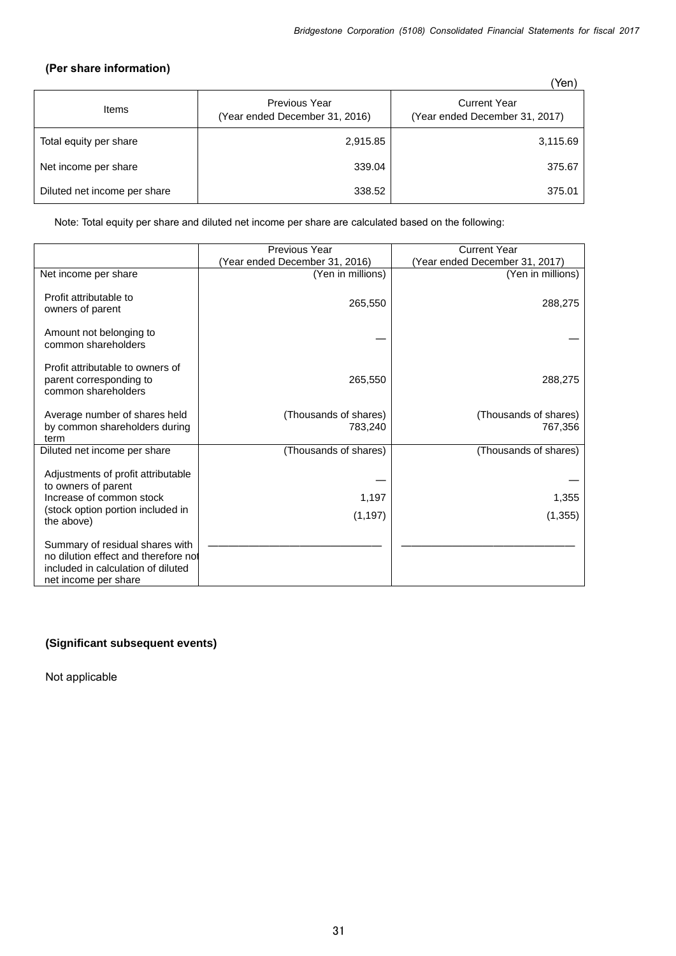## **(Per share information)**

|                              |                                                        | Yen)                                                  |
|------------------------------|--------------------------------------------------------|-------------------------------------------------------|
| Items                        | <b>Previous Year</b><br>(Year ended December 31, 2016) | <b>Current Year</b><br>(Year ended December 31, 2017) |
| Total equity per share       | 2,915.85                                               | 3,115.69                                              |
| Net income per share         | 339.04                                                 | 375.67                                                |
| Diluted net income per share | 338.52                                                 | 375.01                                                |

Note: Total equity per share and diluted net income per share are calculated based on the following:

|                                                                                                                                          | <b>Previous Year</b>             | <b>Current Year</b>              |
|------------------------------------------------------------------------------------------------------------------------------------------|----------------------------------|----------------------------------|
|                                                                                                                                          | (Year ended December 31, 2016)   | (Year ended December 31, 2017)   |
| Net income per share                                                                                                                     | (Yen in millions)                | (Yen in millions)                |
| Profit attributable to<br>owners of parent                                                                                               | 265,550                          | 288,275                          |
| Amount not belonging to<br>common shareholders                                                                                           |                                  |                                  |
| Profit attributable to owners of<br>parent corresponding to<br>common shareholders                                                       | 265,550                          | 288,275                          |
| Average number of shares held<br>by common shareholders during<br>term                                                                   | (Thousands of shares)<br>783,240 | (Thousands of shares)<br>767,356 |
| Diluted net income per share                                                                                                             | (Thousands of shares)            | (Thousands of shares)            |
| Adjustments of profit attributable<br>to owners of parent<br>Increase of common stock<br>(stock option portion included in<br>the above) | 1,197<br>(1, 197)                | 1,355<br>(1, 355)                |
| Summary of residual shares with<br>no dilution effect and therefore not<br>included in calculation of diluted<br>net income per share    |                                  |                                  |

# **(Significant subsequent events)**

Not applicable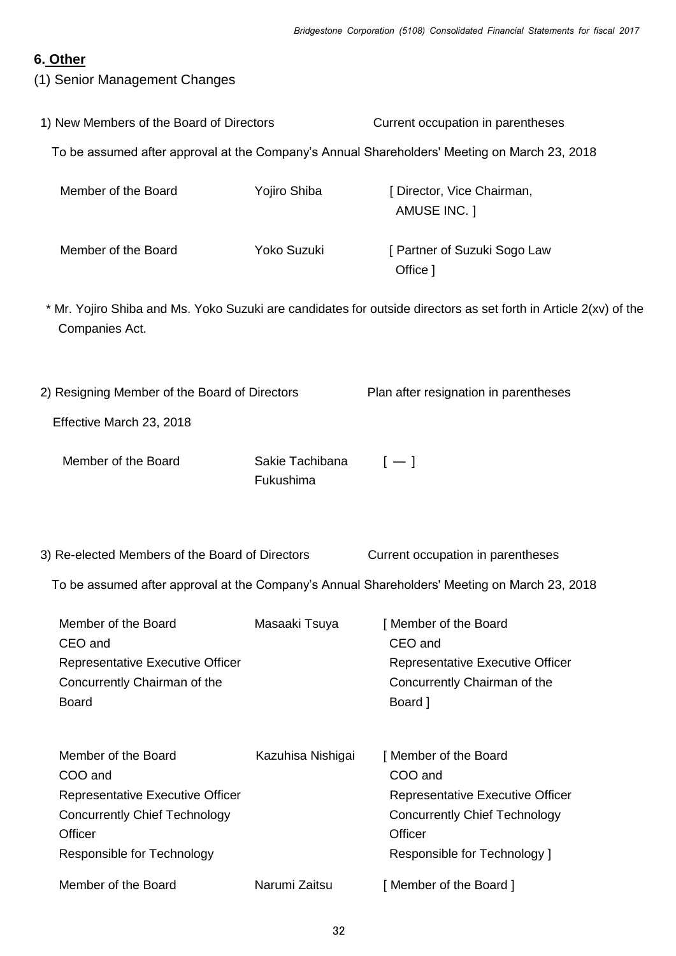# **6. Other**

(1) Senior Management Changes

| 1) New Members of the Board of Directors                                                                                                            |                              | Current occupation in parentheses                                                                                                                      |  |
|-----------------------------------------------------------------------------------------------------------------------------------------------------|------------------------------|--------------------------------------------------------------------------------------------------------------------------------------------------------|--|
|                                                                                                                                                     |                              | To be assumed after approval at the Company's Annual Shareholders' Meeting on March 23, 2018                                                           |  |
| Member of the Board                                                                                                                                 | Yojiro Shiba                 | [ Director, Vice Chairman,<br>AMUSE INC. ]                                                                                                             |  |
| Member of the Board                                                                                                                                 | Yoko Suzuki                  | [ Partner of Suzuki Sogo Law<br>Office ]                                                                                                               |  |
| Companies Act.                                                                                                                                      |                              | * Mr. Yojiro Shiba and Ms. Yoko Suzuki are candidates for outside directors as set forth in Article 2(xv) of the                                       |  |
| 2) Resigning Member of the Board of Directors                                                                                                       |                              | Plan after resignation in parentheses                                                                                                                  |  |
| Effective March 23, 2018                                                                                                                            |                              |                                                                                                                                                        |  |
| Member of the Board                                                                                                                                 | Sakie Tachibana<br>Fukushima | $[-]$                                                                                                                                                  |  |
| 3) Re-elected Members of the Board of Directors                                                                                                     |                              | Current occupation in parentheses<br>To be assumed after approval at the Company's Annual Shareholders' Meeting on March 23, 2018                      |  |
| Member of the Board<br>CEO and<br><b>Representative Executive Officer</b><br>Concurrently Chairman of the<br><b>Board</b>                           | Masaaki Tsuya                | [Member of the Board<br>CEO and<br><b>Representative Executive Officer</b><br>Concurrently Chairman of the<br>Board ]                                  |  |
| Member of the Board<br>COO and<br>Representative Executive Officer<br><b>Concurrently Chief Technology</b><br>Officer<br>Responsible for Technology | Kazuhisa Nishigai            | [Member of the Board<br>COO and<br>Representative Executive Officer<br><b>Concurrently Chief Technology</b><br>Officer<br>Responsible for Technology ] |  |
| Member of the Board                                                                                                                                 | Narumi Zaitsu                | [Member of the Board]                                                                                                                                  |  |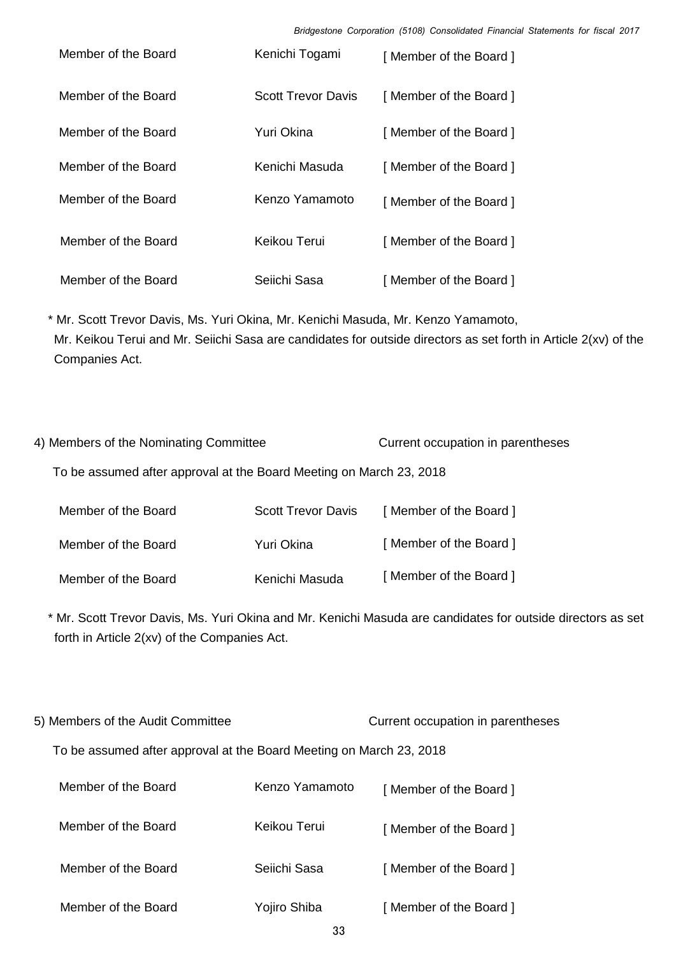*Bridgestone Corporation (5108) Consolidated Financial Statements for fiscal 2017*

| Member of the Board | Kenichi Togami     | [Member of the Board] |
|---------------------|--------------------|-----------------------|
| Member of the Board | Scott Trevor Davis | [Member of the Board] |
| Member of the Board | Yuri Okina         | [Member of the Board] |
| Member of the Board | Kenichi Masuda     | [Member of the Board] |
| Member of the Board | Kenzo Yamamoto     | [Member of the Board] |
| Member of the Board | Keikou Terui       | [Member of the Board] |
| Member of the Board | Seiichi Sasa       | [Member of the Board] |

\* Mr. Scott Trevor Davis, Ms. Yuri Okina, Mr. Kenichi Masuda, Mr. Kenzo Yamamoto, Mr. Keikou Terui and Mr. Seiichi Sasa are candidates for outside directors as set forth in Article 2(xv) of the Companies Act.

4) Members of the Nominating Committee Current occupation in parentheses To be assumed after approval at the Board Meeting on March 23, 2018

| Member of the Board | <b>Scott Trevor Davis</b> | [Member of the Board] |
|---------------------|---------------------------|-----------------------|
| Member of the Board | Yuri Okina                | [Member of the Board] |
| Member of the Board | Kenichi Masuda            | [Member of the Board] |

\* Mr. Scott Trevor Davis, Ms. Yuri Okina and Mr. Kenichi Masuda are candidates for outside directors as set forth in Article 2(xv) of the Companies Act.

5) Members of the Audit Committee Current occupation in parentheses

To be assumed after approval at the Board Meeting on March 23, 2018

| Member of the Board | Kenzo Yamamoto | [Member of the Board] |
|---------------------|----------------|-----------------------|
| Member of the Board | Keikou Terui   | [Member of the Board] |
| Member of the Board | Seiichi Sasa   | [Member of the Board] |
| Member of the Board | Yojiro Shiba   | [Member of the Board] |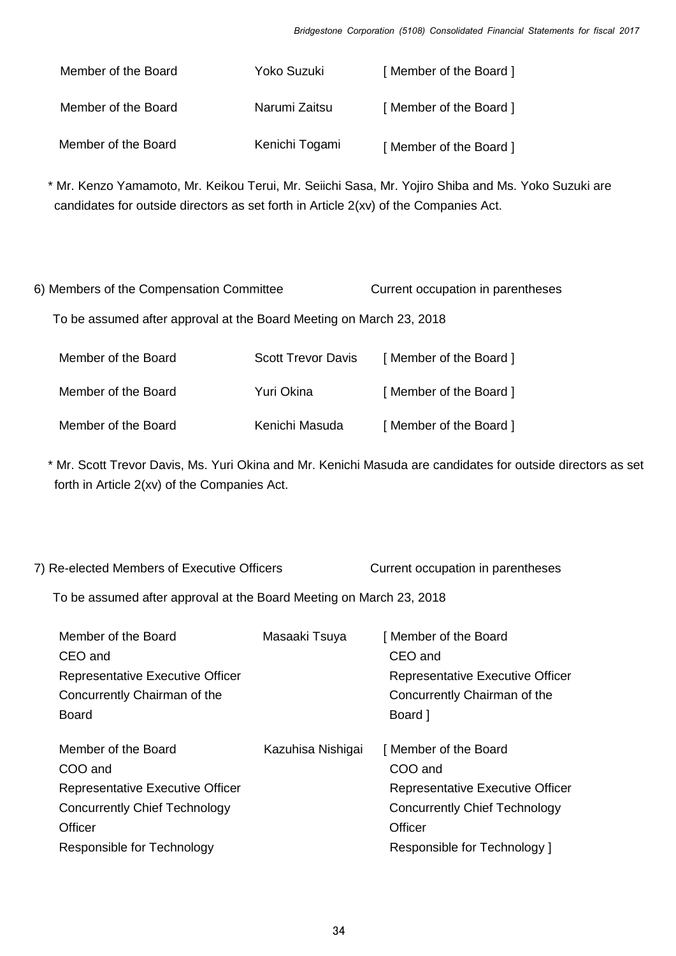| Member of the Board | Yoko Suzuki    | [Member of the Board] |
|---------------------|----------------|-----------------------|
| Member of the Board | Narumi Zaitsu  | [Member of the Board] |
| Member of the Board | Kenichi Togami | [Member of the Board] |

\* Mr. Kenzo Yamamoto, Mr. Keikou Terui, Mr. Seiichi Sasa, Mr. Yojiro Shiba and Ms. Yoko Suzuki are candidates for outside directors as set forth in Article 2(xv) of the Companies Act.

| 6) Members of the Compensation Committee                            |                           | Current occupation in parentheses |
|---------------------------------------------------------------------|---------------------------|-----------------------------------|
| To be assumed after approval at the Board Meeting on March 23, 2018 |                           |                                   |
| Member of the Board                                                 | <b>Scott Trevor Davis</b> | [Member of the Board]             |
| Member of the Board                                                 | Yuri Okina                | [Member of the Board]             |
| Member of the Board                                                 | Kenichi Masuda            | [Member of the Board]             |

\* Mr. Scott Trevor Davis, Ms. Yuri Okina and Mr. Kenichi Masuda are candidates for outside directors as set forth in Article 2(xv) of the Companies Act.

| 7) Re-elected Members of Executive Officers                                                                                                         |                   | Current occupation in parentheses                                                                                                              |
|-----------------------------------------------------------------------------------------------------------------------------------------------------|-------------------|------------------------------------------------------------------------------------------------------------------------------------------------|
| To be assumed after approval at the Board Meeting on March 23, 2018                                                                                 |                   |                                                                                                                                                |
| Member of the Board<br>CEO and<br>Representative Executive Officer<br>Concurrently Chairman of the<br><b>Board</b>                                  | Masaaki Tsuya     | [Member of the Board<br>CEO and<br>Representative Executive Officer<br>Concurrently Chairman of the<br>Board ]                                 |
| Member of the Board<br>COO and<br><b>Representative Executive Officer</b><br>Concurrently Chief Technology<br>Officer<br>Responsible for Technology | Kazuhisa Nishigai | Member of the Board<br>COO and<br>Representative Executive Officer<br>Concurrently Chief Technology<br>Officer<br>Responsible for Technology 1 |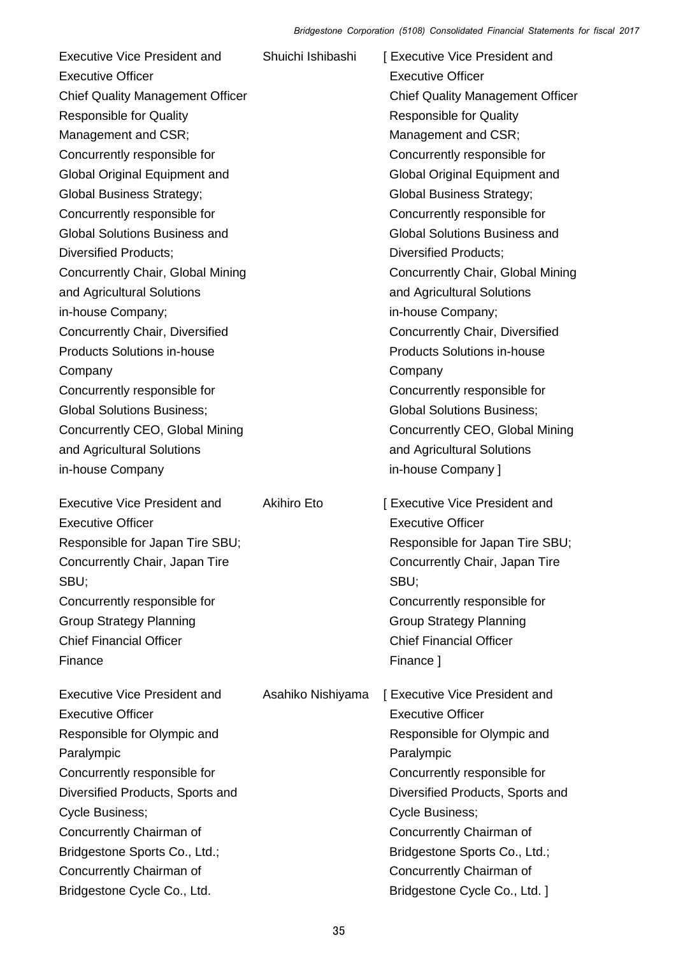| <b>Executive Vice President and</b><br><b>Executive Officer</b><br><b>Chief Quality Management Officer</b><br><b>Responsible for Quality</b><br>Management and CSR;<br>Concurrently responsible for<br>Global Original Equipment and<br><b>Global Business Strategy;</b><br>Concurrently responsible for<br><b>Global Solutions Business and</b><br><b>Diversified Products;</b><br>Concurrently Chair, Global Mining | Shuichi Ishibashi  | [ Executive Vice President and<br><b>Executive Officer</b><br><b>Chief Quality Management Officer</b><br><b>Responsible for Quality</b><br>Management and CSR;<br>Concurrently responsible for<br><b>Global Original Equipment and</b><br><b>Global Business Strategy;</b><br>Concurrently responsible for<br><b>Global Solutions Business and</b><br><b>Diversified Products;</b><br>Concurrently Chair, Global Mining |
|-----------------------------------------------------------------------------------------------------------------------------------------------------------------------------------------------------------------------------------------------------------------------------------------------------------------------------------------------------------------------------------------------------------------------|--------------------|-------------------------------------------------------------------------------------------------------------------------------------------------------------------------------------------------------------------------------------------------------------------------------------------------------------------------------------------------------------------------------------------------------------------------|
| and Agricultural Solutions<br>in-house Company;<br>Concurrently Chair, Diversified<br><b>Products Solutions in-house</b>                                                                                                                                                                                                                                                                                              |                    | and Agricultural Solutions<br>in-house Company;<br>Concurrently Chair, Diversified<br><b>Products Solutions in-house</b>                                                                                                                                                                                                                                                                                                |
| Company<br>Concurrently responsible for<br><b>Global Solutions Business;</b><br>Concurrently CEO, Global Mining<br>and Agricultural Solutions<br>in-house Company                                                                                                                                                                                                                                                     |                    | Company<br>Concurrently responsible for<br><b>Global Solutions Business;</b><br>Concurrently CEO, Global Mining<br>and Agricultural Solutions<br>in-house Company ]                                                                                                                                                                                                                                                     |
| <b>Executive Vice President and</b><br><b>Executive Officer</b><br>Responsible for Japan Tire SBU;<br>Concurrently Chair, Japan Tire<br>SBU;<br>Concurrently responsible for<br><b>Group Strategy Planning</b><br><b>Chief Financial Officer</b><br>Finance                                                                                                                                                           | <b>Akihiro Eto</b> | [ Executive Vice President and<br><b>Executive Officer</b><br>Responsible for Japan Tire SBU;<br>Concurrently Chair, Japan Tire<br>SBU;<br>Concurrently responsible for<br><b>Group Strategy Planning</b><br><b>Chief Financial Officer</b><br>Finance ]                                                                                                                                                                |
| <b>Executive Vice President and</b><br><b>Executive Officer</b><br>Responsible for Olympic and<br>Paralympic<br>Concurrently responsible for<br>Diversified Products, Sports and<br>Cycle Business;<br>Concurrently Chairman of<br>Bridgestone Sports Co., Ltd.;<br>Concurrently Chairman of<br>Bridgestone Cycle Co., Ltd.                                                                                           | Asahiko Nishiyama  | [ Executive Vice President and<br><b>Executive Officer</b><br>Responsible for Olympic and<br>Paralympic<br>Concurrently responsible for<br>Diversified Products, Sports and<br>Cycle Business;<br>Concurrently Chairman of<br>Bridgestone Sports Co., Ltd.;<br>Concurrently Chairman of<br>Bridgestone Cycle Co., Ltd. ]                                                                                                |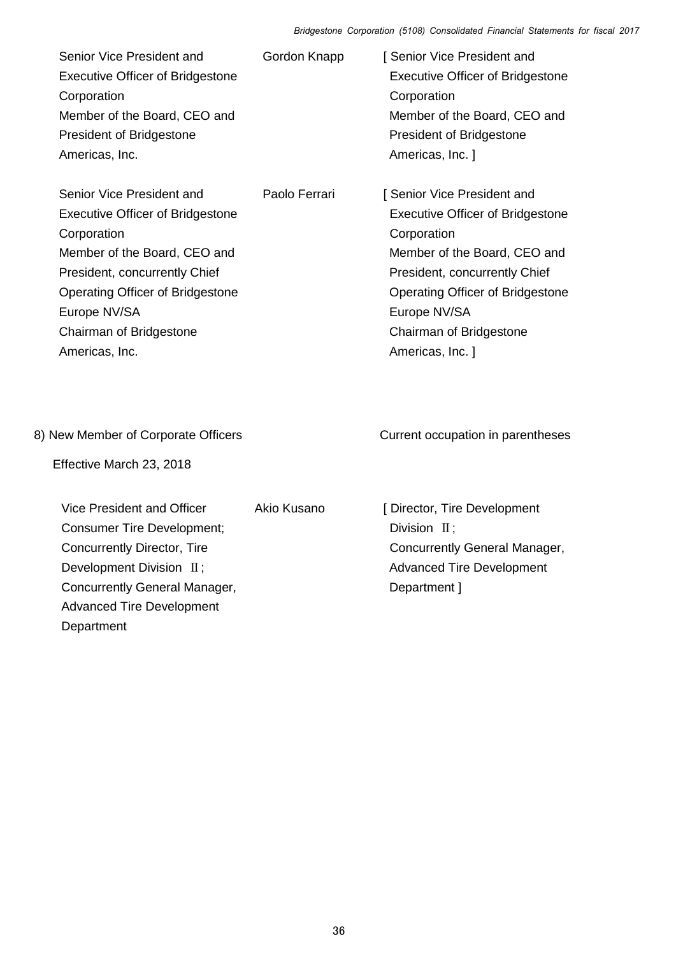| Senior Vice President and<br><b>Executive Officer of Bridgestone</b><br>Corporation<br>Member of the Board, CEO and<br>President of Bridgestone<br>Americas, Inc.                                                                                     | Gordon Knapp  | [ Senior Vice President and<br><b>Executive Officer of Bridgestone</b><br>Corporation<br>Member of the Board, CEO and<br>President of Bridgestone<br>Americas, Inc. ]                                                                                            |
|-------------------------------------------------------------------------------------------------------------------------------------------------------------------------------------------------------------------------------------------------------|---------------|------------------------------------------------------------------------------------------------------------------------------------------------------------------------------------------------------------------------------------------------------------------|
| Senior Vice President and<br><b>Executive Officer of Bridgestone</b><br>Corporation<br>Member of the Board, CEO and<br>President, concurrently Chief<br>Operating Officer of Bridgestone<br>Europe NV/SA<br>Chairman of Bridgestone<br>Americas, Inc. | Paolo Ferrari | [ Senior Vice President and<br><b>Executive Officer of Bridgestone</b><br>Corporation<br>Member of the Board, CEO and<br>President, concurrently Chief<br><b>Operating Officer of Bridgestone</b><br>Europe NV/SA<br>Chairman of Bridgestone<br>Americas, Inc. 1 |
| 8) New Member of Corporate Officers<br>Effective March 23, 2018                                                                                                                                                                                       |               | Current occupation in parentheses                                                                                                                                                                                                                                |
| Vice President and Officer<br><b>Consumer Tire Development;</b><br>Concurrently Director, Tire<br>Development Division II;<br>Concurrently General Manager,<br><b>Advanced Tire Development</b><br>Department                                         | Akio Kusano   | [ Director, Tire Development<br>Division $\Pi$ ;<br>Concurrently General Manager,<br><b>Advanced Tire Development</b><br>Department ]                                                                                                                            |